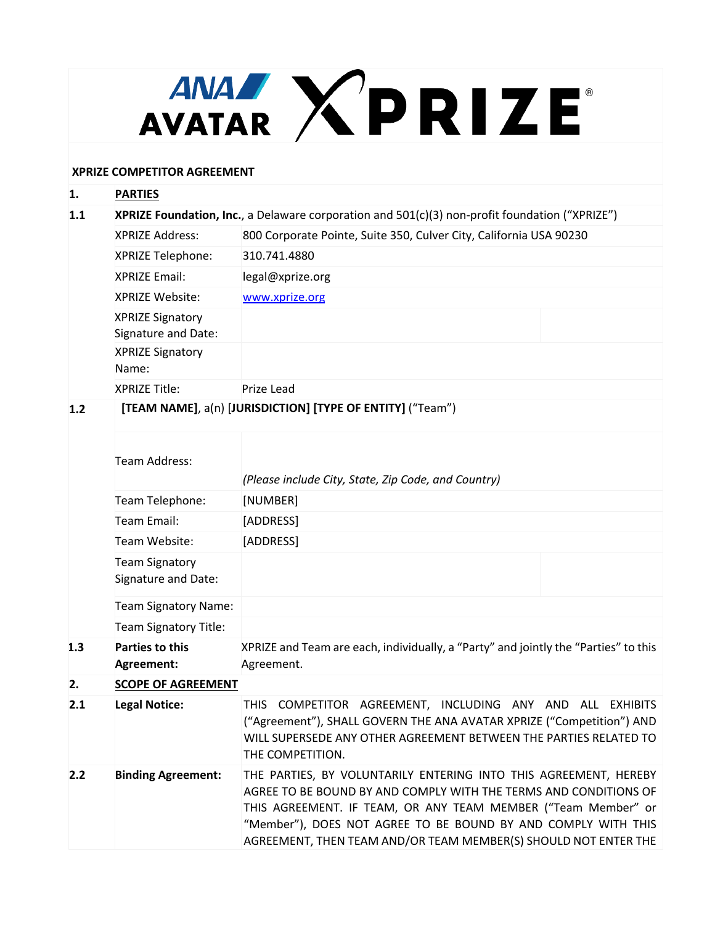# AWAZ XPRIZE

#### **XPRIZE COMPETITOR AGREEMENT**

| 1.  | <b>PARTIES</b>                                                                                 |                                                                                                                                                                                                                                                                                                                                           |                        |
|-----|------------------------------------------------------------------------------------------------|-------------------------------------------------------------------------------------------------------------------------------------------------------------------------------------------------------------------------------------------------------------------------------------------------------------------------------------------|------------------------|
| 1.1 | XPRIZE Foundation, Inc., a Delaware corporation and 501(c)(3) non-profit foundation ("XPRIZE") |                                                                                                                                                                                                                                                                                                                                           |                        |
|     | <b>XPRIZE Address:</b>                                                                         | 800 Corporate Pointe, Suite 350, Culver City, California USA 90230                                                                                                                                                                                                                                                                        |                        |
|     | <b>XPRIZE Telephone:</b>                                                                       | 310.741.4880                                                                                                                                                                                                                                                                                                                              |                        |
|     | <b>XPRIZE Email:</b>                                                                           | legal@xprize.org                                                                                                                                                                                                                                                                                                                          |                        |
|     | <b>XPRIZE Website:</b>                                                                         | www.xprize.org                                                                                                                                                                                                                                                                                                                            |                        |
|     | <b>XPRIZE Signatory</b><br>Signature and Date:                                                 |                                                                                                                                                                                                                                                                                                                                           |                        |
|     | <b>XPRIZE Signatory</b><br>Name:                                                               |                                                                                                                                                                                                                                                                                                                                           |                        |
|     | <b>XPRIZE Title:</b>                                                                           | Prize Lead                                                                                                                                                                                                                                                                                                                                |                        |
| 1.2 |                                                                                                | [TEAM NAME], a(n) [JURISDICTION] [TYPE OF ENTITY] ("Team")                                                                                                                                                                                                                                                                                |                        |
|     | <b>Team Address:</b>                                                                           | (Please include City, State, Zip Code, and Country)                                                                                                                                                                                                                                                                                       |                        |
|     | Team Telephone:                                                                                | [NUMBER]                                                                                                                                                                                                                                                                                                                                  |                        |
|     | Team Email:                                                                                    | [ADDRESS]                                                                                                                                                                                                                                                                                                                                 |                        |
|     | Team Website:                                                                                  | [ADDRESS]                                                                                                                                                                                                                                                                                                                                 |                        |
|     | <b>Team Signatory</b><br>Signature and Date:                                                   |                                                                                                                                                                                                                                                                                                                                           |                        |
|     | <b>Team Signatory Name:</b>                                                                    |                                                                                                                                                                                                                                                                                                                                           |                        |
|     | <b>Team Signatory Title:</b>                                                                   |                                                                                                                                                                                                                                                                                                                                           |                        |
| 1.3 | <b>Parties to this</b><br>Agreement:                                                           | XPRIZE and Team are each, individually, a "Party" and jointly the "Parties" to this<br>Agreement.                                                                                                                                                                                                                                         |                        |
| 2.  | <b>SCOPE OF AGREEMENT</b>                                                                      |                                                                                                                                                                                                                                                                                                                                           |                        |
| 2.1 | <b>Legal Notice:</b>                                                                           | COMPETITOR AGREEMENT, INCLUDING<br><b>THIS</b><br>ANY AND<br>("Agreement"), SHALL GOVERN THE ANA AVATAR XPRIZE ("Competition") AND<br>WILL SUPERSEDE ANY OTHER AGREEMENT BETWEEN THE PARTIES RELATED TO<br>THE COMPETITION.                                                                                                               | <b>EXHIBITS</b><br>ALL |
| 2.2 | <b>Binding Agreement:</b>                                                                      | THE PARTIES, BY VOLUNTARILY ENTERING INTO THIS AGREEMENT, HEREBY<br>AGREE TO BE BOUND BY AND COMPLY WITH THE TERMS AND CONDITIONS OF<br>THIS AGREEMENT. IF TEAM, OR ANY TEAM MEMBER ("Team Member" or<br>"Member"), DOES NOT AGREE TO BE BOUND BY AND COMPLY WITH THIS<br>AGREEMENT, THEN TEAM AND/OR TEAM MEMBER(S) SHOULD NOT ENTER THE |                        |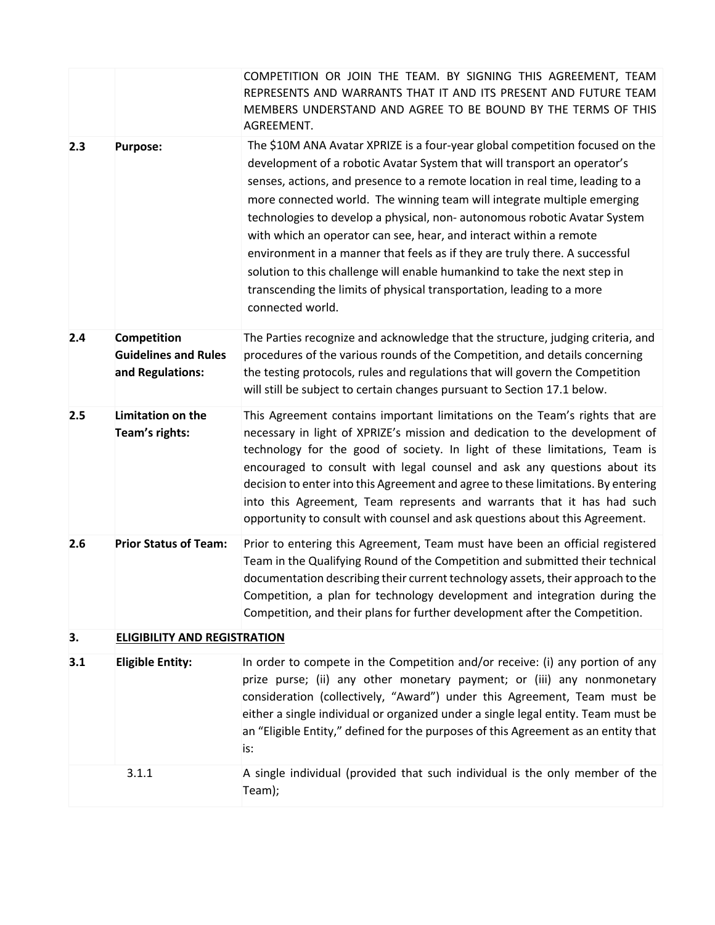|     |                                                                | COMPETITION OR JOIN THE TEAM. BY SIGNING THIS AGREEMENT, TEAM<br>REPRESENTS AND WARRANTS THAT IT AND ITS PRESENT AND FUTURE TEAM<br>MEMBERS UNDERSTAND AND AGREE TO BE BOUND BY THE TERMS OF THIS<br>AGREEMENT.                                                                                                                                                                                                                                                                                                                                                                                                                                                                                                                 |
|-----|----------------------------------------------------------------|---------------------------------------------------------------------------------------------------------------------------------------------------------------------------------------------------------------------------------------------------------------------------------------------------------------------------------------------------------------------------------------------------------------------------------------------------------------------------------------------------------------------------------------------------------------------------------------------------------------------------------------------------------------------------------------------------------------------------------|
| 2.3 | <b>Purpose:</b>                                                | The \$10M ANA Avatar XPRIZE is a four-year global competition focused on the<br>development of a robotic Avatar System that will transport an operator's<br>senses, actions, and presence to a remote location in real time, leading to a<br>more connected world. The winning team will integrate multiple emerging<br>technologies to develop a physical, non-autonomous robotic Avatar System<br>with which an operator can see, hear, and interact within a remote<br>environment in a manner that feels as if they are truly there. A successful<br>solution to this challenge will enable humankind to take the next step in<br>transcending the limits of physical transportation, leading to a more<br>connected world. |
| 2.4 | Competition<br><b>Guidelines and Rules</b><br>and Regulations: | The Parties recognize and acknowledge that the structure, judging criteria, and<br>procedures of the various rounds of the Competition, and details concerning<br>the testing protocols, rules and regulations that will govern the Competition<br>will still be subject to certain changes pursuant to Section 17.1 below.                                                                                                                                                                                                                                                                                                                                                                                                     |
| 2.5 | Limitation on the<br>Team's rights:                            | This Agreement contains important limitations on the Team's rights that are<br>necessary in light of XPRIZE's mission and dedication to the development of<br>technology for the good of society. In light of these limitations, Team is<br>encouraged to consult with legal counsel and ask any questions about its<br>decision to enter into this Agreement and agree to these limitations. By entering<br>into this Agreement, Team represents and warrants that it has had such<br>opportunity to consult with counsel and ask questions about this Agreement.                                                                                                                                                              |
| 2.6 | <b>Prior Status of Team:</b>                                   | Prior to entering this Agreement, Team must have been an official registered<br>Team in the Qualifying Round of the Competition and submitted their technical<br>documentation describing their current technology assets, their approach to the<br>Competition, a plan for technology development and integration during the<br>Competition, and their plans for further development after the Competition.                                                                                                                                                                                                                                                                                                                    |
| 3.  | <b>ELIGIBILITY AND REGISTRATION</b>                            |                                                                                                                                                                                                                                                                                                                                                                                                                                                                                                                                                                                                                                                                                                                                 |
| 3.1 | <b>Eligible Entity:</b>                                        | In order to compete in the Competition and/or receive: (i) any portion of any<br>prize purse; (ii) any other monetary payment; or (iii) any nonmonetary<br>consideration (collectively, "Award") under this Agreement, Team must be<br>either a single individual or organized under a single legal entity. Team must be<br>an "Eligible Entity," defined for the purposes of this Agreement as an entity that<br>is:                                                                                                                                                                                                                                                                                                           |
|     | 3.1.1                                                          | A single individual (provided that such individual is the only member of the<br>Team);                                                                                                                                                                                                                                                                                                                                                                                                                                                                                                                                                                                                                                          |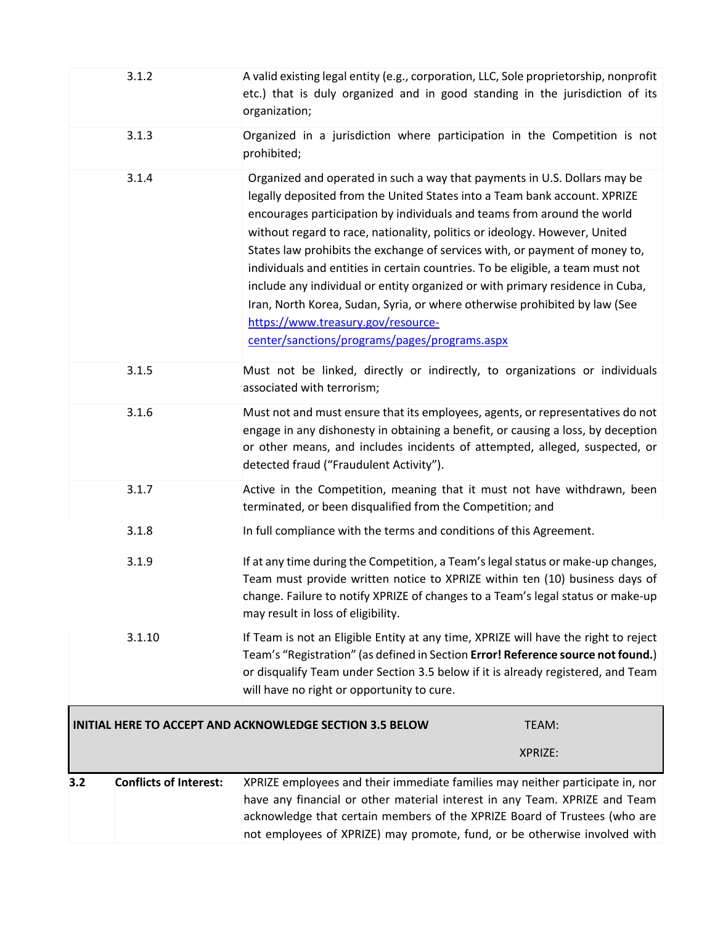|     | 3.1.2                         | A valid existing legal entity (e.g., corporation, LLC, Sole proprietorship, nonprofit<br>etc.) that is duly organized and in good standing in the jurisdiction of its<br>organization;                                                                                                                                                                                                                                                                                                                                                                                                                                                                                                                                                 |
|-----|-------------------------------|----------------------------------------------------------------------------------------------------------------------------------------------------------------------------------------------------------------------------------------------------------------------------------------------------------------------------------------------------------------------------------------------------------------------------------------------------------------------------------------------------------------------------------------------------------------------------------------------------------------------------------------------------------------------------------------------------------------------------------------|
|     | 3.1.3                         | Organized in a jurisdiction where participation in the Competition is not<br>prohibited;                                                                                                                                                                                                                                                                                                                                                                                                                                                                                                                                                                                                                                               |
|     | 3.1.4                         | Organized and operated in such a way that payments in U.S. Dollars may be<br>legally deposited from the United States into a Team bank account. XPRIZE<br>encourages participation by individuals and teams from around the world<br>without regard to race, nationality, politics or ideology. However, United<br>States law prohibits the exchange of services with, or payment of money to,<br>individuals and entities in certain countries. To be eligible, a team must not<br>include any individual or entity organized or with primary residence in Cuba,<br>Iran, North Korea, Sudan, Syria, or where otherwise prohibited by law (See<br>https://www.treasury.gov/resource-<br>center/sanctions/programs/pages/programs.aspx |
|     | 3.1.5                         | Must not be linked, directly or indirectly, to organizations or individuals<br>associated with terrorism;                                                                                                                                                                                                                                                                                                                                                                                                                                                                                                                                                                                                                              |
|     | 3.1.6                         | Must not and must ensure that its employees, agents, or representatives do not<br>engage in any dishonesty in obtaining a benefit, or causing a loss, by deception<br>or other means, and includes incidents of attempted, alleged, suspected, or<br>detected fraud ("Fraudulent Activity").                                                                                                                                                                                                                                                                                                                                                                                                                                           |
|     | 3.1.7                         | Active in the Competition, meaning that it must not have withdrawn, been<br>terminated, or been disqualified from the Competition; and                                                                                                                                                                                                                                                                                                                                                                                                                                                                                                                                                                                                 |
|     | 3.1.8                         | In full compliance with the terms and conditions of this Agreement.                                                                                                                                                                                                                                                                                                                                                                                                                                                                                                                                                                                                                                                                    |
|     | 3.1.9                         | If at any time during the Competition, a Team's legal status or make-up changes,<br>Team must provide written notice to XPRIZE within ten (10) business days of<br>change. Failure to notify XPRIZE of changes to a Team's legal status or make-up<br>may result in loss of eligibility.                                                                                                                                                                                                                                                                                                                                                                                                                                               |
|     | 3.1.10                        | If Team is not an Eligible Entity at any time, XPRIZE will have the right to reject<br>Team's "Registration" (as defined in Section Error! Reference source not found.)<br>or disqualify Team under Section 3.5 below if it is already registered, and Team<br>will have no right or opportunity to cure.                                                                                                                                                                                                                                                                                                                                                                                                                              |
|     |                               | INITIAL HERE TO ACCEPT AND ACKNOWLEDGE SECTION 3.5 BELOW<br>TEAM:                                                                                                                                                                                                                                                                                                                                                                                                                                                                                                                                                                                                                                                                      |
|     |                               | XPRIZE:                                                                                                                                                                                                                                                                                                                                                                                                                                                                                                                                                                                                                                                                                                                                |
| 3.2 | <b>Conflicts of Interest:</b> | XPRIZE employees and their immediate families may neither participate in, nor<br>have any financial or other material interest in any Team. XPRIZE and Team<br>acknowledge that certain members of the XPRIZE Board of Trustees (who are<br>not employees of XPRIZE) may promote, fund, or be otherwise involved with                                                                                                                                                                                                                                                                                                                                                                                                                  |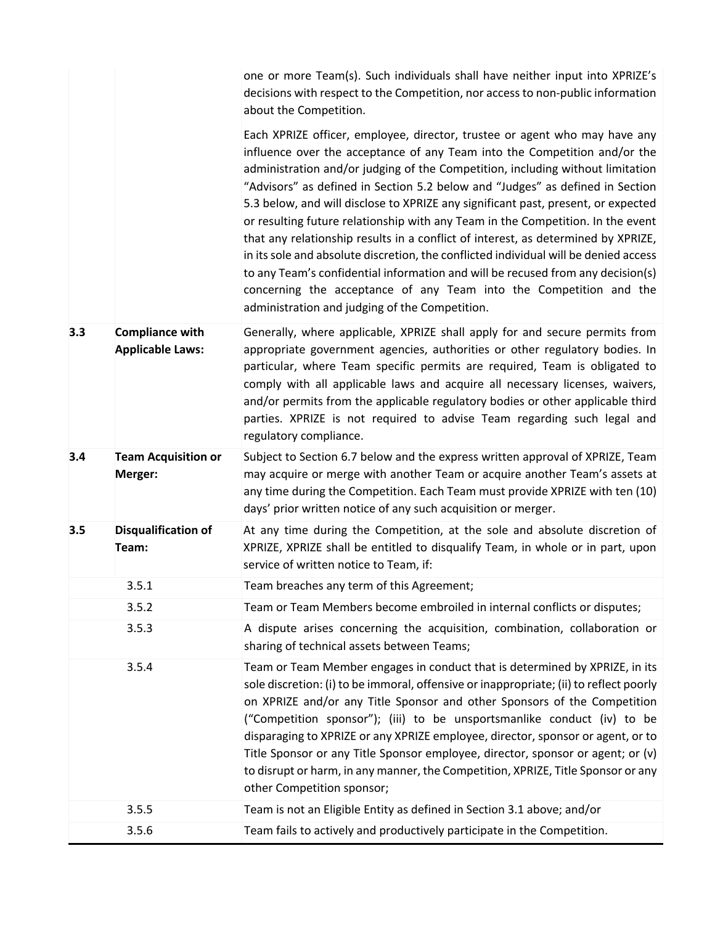|     |                                                   | one or more Team(s). Such individuals shall have neither input into XPRIZE's<br>decisions with respect to the Competition, nor access to non-public information<br>about the Competition.                                                                                                                                                                                                                                                                                                                                                                                                                                                                                                                                                                                                                                                                                                  |
|-----|---------------------------------------------------|--------------------------------------------------------------------------------------------------------------------------------------------------------------------------------------------------------------------------------------------------------------------------------------------------------------------------------------------------------------------------------------------------------------------------------------------------------------------------------------------------------------------------------------------------------------------------------------------------------------------------------------------------------------------------------------------------------------------------------------------------------------------------------------------------------------------------------------------------------------------------------------------|
|     |                                                   | Each XPRIZE officer, employee, director, trustee or agent who may have any<br>influence over the acceptance of any Team into the Competition and/or the<br>administration and/or judging of the Competition, including without limitation<br>"Advisors" as defined in Section 5.2 below and "Judges" as defined in Section<br>5.3 below, and will disclose to XPRIZE any significant past, present, or expected<br>or resulting future relationship with any Team in the Competition. In the event<br>that any relationship results in a conflict of interest, as determined by XPRIZE,<br>in its sole and absolute discretion, the conflicted individual will be denied access<br>to any Team's confidential information and will be recused from any decision(s)<br>concerning the acceptance of any Team into the Competition and the<br>administration and judging of the Competition. |
| 3.3 | <b>Compliance with</b><br><b>Applicable Laws:</b> | Generally, where applicable, XPRIZE shall apply for and secure permits from<br>appropriate government agencies, authorities or other regulatory bodies. In<br>particular, where Team specific permits are required, Team is obligated to<br>comply with all applicable laws and acquire all necessary licenses, waivers,<br>and/or permits from the applicable regulatory bodies or other applicable third<br>parties. XPRIZE is not required to advise Team regarding such legal and<br>regulatory compliance.                                                                                                                                                                                                                                                                                                                                                                            |
| 3.4 | <b>Team Acquisition or</b><br>Merger:             | Subject to Section 6.7 below and the express written approval of XPRIZE, Team<br>may acquire or merge with another Team or acquire another Team's assets at<br>any time during the Competition. Each Team must provide XPRIZE with ten (10)<br>days' prior written notice of any such acquisition or merger.                                                                                                                                                                                                                                                                                                                                                                                                                                                                                                                                                                               |
| 3.5 | <b>Disqualification of</b><br>Team:               | At any time during the Competition, at the sole and absolute discretion of<br>XPRIZE, XPRIZE shall be entitled to disqualify Team, in whole or in part, upon<br>service of written notice to Team, if:                                                                                                                                                                                                                                                                                                                                                                                                                                                                                                                                                                                                                                                                                     |
|     | 3.5.1                                             | Team breaches any term of this Agreement;                                                                                                                                                                                                                                                                                                                                                                                                                                                                                                                                                                                                                                                                                                                                                                                                                                                  |
|     | 3.5.2                                             | Team or Team Members become embroiled in internal conflicts or disputes;                                                                                                                                                                                                                                                                                                                                                                                                                                                                                                                                                                                                                                                                                                                                                                                                                   |
|     | 3.5.3                                             | A dispute arises concerning the acquisition, combination, collaboration or<br>sharing of technical assets between Teams;                                                                                                                                                                                                                                                                                                                                                                                                                                                                                                                                                                                                                                                                                                                                                                   |
|     | 3.5.4                                             | Team or Team Member engages in conduct that is determined by XPRIZE, in its<br>sole discretion: (i) to be immoral, offensive or inappropriate; (ii) to reflect poorly<br>on XPRIZE and/or any Title Sponsor and other Sponsors of the Competition<br>("Competition sponsor"); (iii) to be unsportsmanlike conduct (iv) to be<br>disparaging to XPRIZE or any XPRIZE employee, director, sponsor or agent, or to<br>Title Sponsor or any Title Sponsor employee, director, sponsor or agent; or (v)<br>to disrupt or harm, in any manner, the Competition, XPRIZE, Title Sponsor or any<br>other Competition sponsor;                                                                                                                                                                                                                                                                       |
|     | 3.5.5                                             | Team is not an Eligible Entity as defined in Section 3.1 above; and/or                                                                                                                                                                                                                                                                                                                                                                                                                                                                                                                                                                                                                                                                                                                                                                                                                     |
|     | 3.5.6                                             | Team fails to actively and productively participate in the Competition.                                                                                                                                                                                                                                                                                                                                                                                                                                                                                                                                                                                                                                                                                                                                                                                                                    |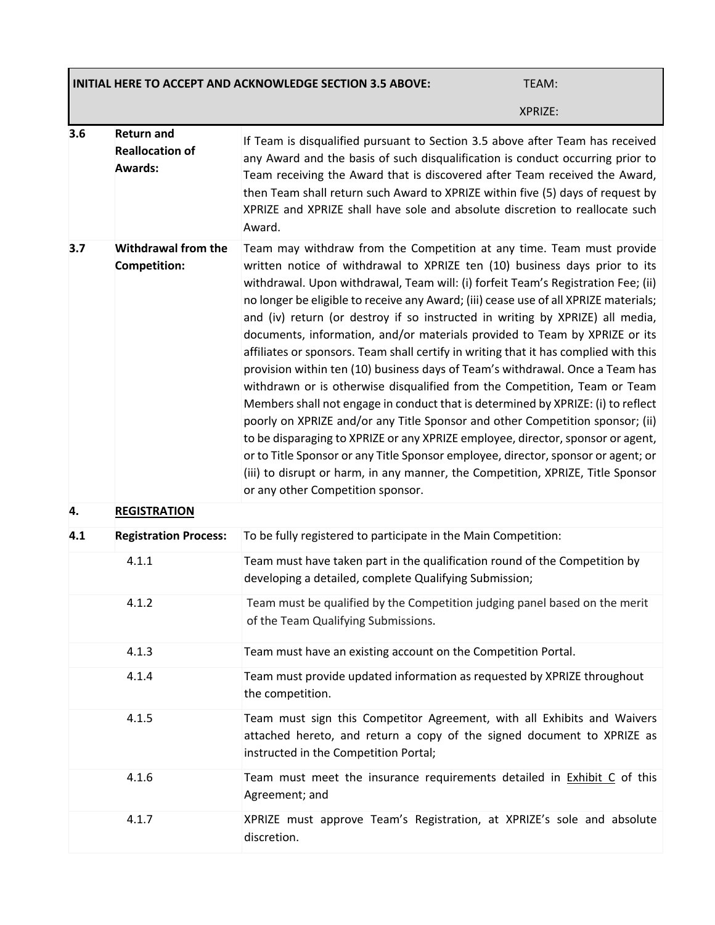# **INITIAL HERE TO ACCEPT AND ACKNOWLEDGE SECTION 3.5 ABOVE: TEAM: TEAM:**

 $XPRIZE:$   $XPRIZE:$ 

| 3.6 | <b>Return and</b><br><b>Reallocation of</b><br><b>Awards:</b> | If Team is disqualified pursuant to Section 3.5 above after Team has received<br>any Award and the basis of such disqualification is conduct occurring prior to<br>Team receiving the Award that is discovered after Team received the Award,<br>then Team shall return such Award to XPRIZE within five (5) days of request by<br>XPRIZE and XPRIZE shall have sole and absolute discretion to reallocate such<br>Award.                                                                                                                                                                                                                                                                                                                                                                                                                                                                                                                                                                                                                                                                                                                                                                                                  |
|-----|---------------------------------------------------------------|----------------------------------------------------------------------------------------------------------------------------------------------------------------------------------------------------------------------------------------------------------------------------------------------------------------------------------------------------------------------------------------------------------------------------------------------------------------------------------------------------------------------------------------------------------------------------------------------------------------------------------------------------------------------------------------------------------------------------------------------------------------------------------------------------------------------------------------------------------------------------------------------------------------------------------------------------------------------------------------------------------------------------------------------------------------------------------------------------------------------------------------------------------------------------------------------------------------------------|
| 3.7 | <b>Withdrawal from the</b><br><b>Competition:</b>             | Team may withdraw from the Competition at any time. Team must provide<br>written notice of withdrawal to XPRIZE ten (10) business days prior to its<br>withdrawal. Upon withdrawal, Team will: (i) forfeit Team's Registration Fee; (ii)<br>no longer be eligible to receive any Award; (iii) cease use of all XPRIZE materials;<br>and (iv) return (or destroy if so instructed in writing by XPRIZE) all media,<br>documents, information, and/or materials provided to Team by XPRIZE or its<br>affiliates or sponsors. Team shall certify in writing that it has complied with this<br>provision within ten (10) business days of Team's withdrawal. Once a Team has<br>withdrawn or is otherwise disqualified from the Competition, Team or Team<br>Members shall not engage in conduct that is determined by XPRIZE: (i) to reflect<br>poorly on XPRIZE and/or any Title Sponsor and other Competition sponsor; (ii)<br>to be disparaging to XPRIZE or any XPRIZE employee, director, sponsor or agent,<br>or to Title Sponsor or any Title Sponsor employee, director, sponsor or agent; or<br>(iii) to disrupt or harm, in any manner, the Competition, XPRIZE, Title Sponsor<br>or any other Competition sponsor. |
| 4.  | <b>REGISTRATION</b>                                           |                                                                                                                                                                                                                                                                                                                                                                                                                                                                                                                                                                                                                                                                                                                                                                                                                                                                                                                                                                                                                                                                                                                                                                                                                            |
| 4.1 | <b>Registration Process:</b>                                  | To be fully registered to participate in the Main Competition:                                                                                                                                                                                                                                                                                                                                                                                                                                                                                                                                                                                                                                                                                                                                                                                                                                                                                                                                                                                                                                                                                                                                                             |
|     | 4.1.1                                                         | Team must have taken part in the qualification round of the Competition by<br>developing a detailed, complete Qualifying Submission;                                                                                                                                                                                                                                                                                                                                                                                                                                                                                                                                                                                                                                                                                                                                                                                                                                                                                                                                                                                                                                                                                       |
|     | 4.1.2                                                         | Team must be qualified by the Competition judging panel based on the merit<br>of the Team Qualifying Submissions.                                                                                                                                                                                                                                                                                                                                                                                                                                                                                                                                                                                                                                                                                                                                                                                                                                                                                                                                                                                                                                                                                                          |
|     | 4.1.3                                                         | Team must have an existing account on the Competition Portal.                                                                                                                                                                                                                                                                                                                                                                                                                                                                                                                                                                                                                                                                                                                                                                                                                                                                                                                                                                                                                                                                                                                                                              |
|     | 4.1.4                                                         | Team must provide updated information as requested by XPRIZE throughout<br>the competition.                                                                                                                                                                                                                                                                                                                                                                                                                                                                                                                                                                                                                                                                                                                                                                                                                                                                                                                                                                                                                                                                                                                                |
|     | 4.1.5                                                         | Team must sign this Competitor Agreement, with all Exhibits and Waivers<br>attached hereto, and return a copy of the signed document to XPRIZE as<br>instructed in the Competition Portal;                                                                                                                                                                                                                                                                                                                                                                                                                                                                                                                                                                                                                                                                                                                                                                                                                                                                                                                                                                                                                                 |
|     | 4.1.6                                                         | Team must meet the insurance requirements detailed in Exhibit C of this<br>Agreement; and                                                                                                                                                                                                                                                                                                                                                                                                                                                                                                                                                                                                                                                                                                                                                                                                                                                                                                                                                                                                                                                                                                                                  |
|     | 4.1.7                                                         | XPRIZE must approve Team's Registration, at XPRIZE's sole and absolute<br>discretion.                                                                                                                                                                                                                                                                                                                                                                                                                                                                                                                                                                                                                                                                                                                                                                                                                                                                                                                                                                                                                                                                                                                                      |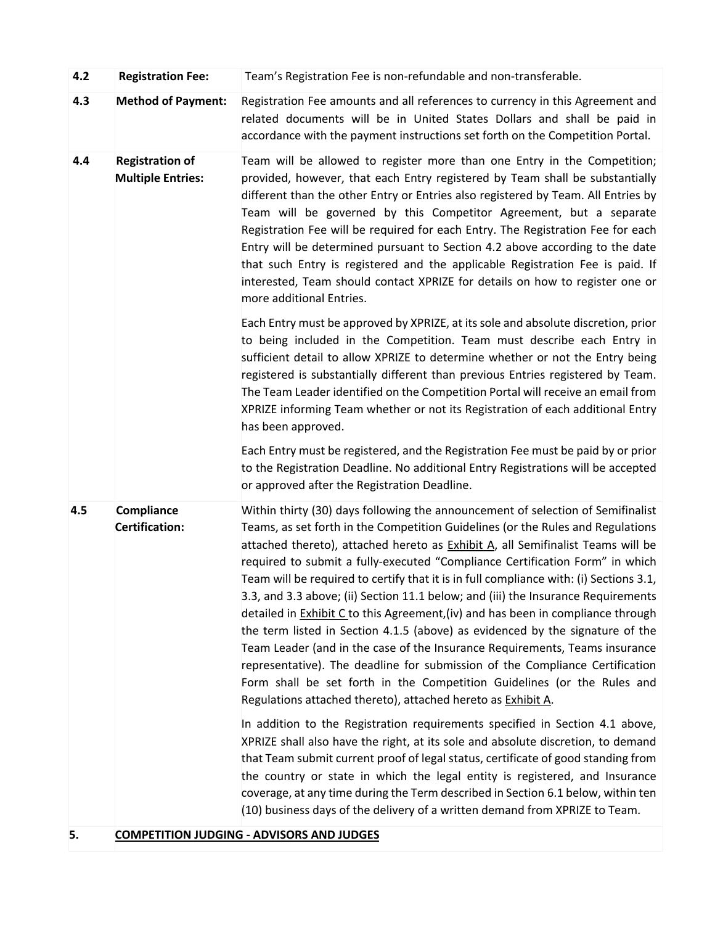| 4.2 | <b>Registration Fee:</b>                           | Team's Registration Fee is non-refundable and non-transferable.                                                                                                                                                                                                                                                                                                                                                                                                                                                                                                                                                                                                                                                                                                                                                                                                                                                                                                                                            |
|-----|----------------------------------------------------|------------------------------------------------------------------------------------------------------------------------------------------------------------------------------------------------------------------------------------------------------------------------------------------------------------------------------------------------------------------------------------------------------------------------------------------------------------------------------------------------------------------------------------------------------------------------------------------------------------------------------------------------------------------------------------------------------------------------------------------------------------------------------------------------------------------------------------------------------------------------------------------------------------------------------------------------------------------------------------------------------------|
| 4.3 | <b>Method of Payment:</b>                          | Registration Fee amounts and all references to currency in this Agreement and<br>related documents will be in United States Dollars and shall be paid in<br>accordance with the payment instructions set forth on the Competition Portal.                                                                                                                                                                                                                                                                                                                                                                                                                                                                                                                                                                                                                                                                                                                                                                  |
| 4.4 | <b>Registration of</b><br><b>Multiple Entries:</b> | Team will be allowed to register more than one Entry in the Competition;<br>provided, however, that each Entry registered by Team shall be substantially<br>different than the other Entry or Entries also registered by Team. All Entries by<br>Team will be governed by this Competitor Agreement, but a separate<br>Registration Fee will be required for each Entry. The Registration Fee for each<br>Entry will be determined pursuant to Section 4.2 above according to the date<br>that such Entry is registered and the applicable Registration Fee is paid. If<br>interested, Team should contact XPRIZE for details on how to register one or<br>more additional Entries.                                                                                                                                                                                                                                                                                                                        |
|     |                                                    | Each Entry must be approved by XPRIZE, at its sole and absolute discretion, prior<br>to being included in the Competition. Team must describe each Entry in<br>sufficient detail to allow XPRIZE to determine whether or not the Entry being<br>registered is substantially different than previous Entries registered by Team.<br>The Team Leader identified on the Competition Portal will receive an email from<br>XPRIZE informing Team whether or not its Registration of each additional Entry<br>has been approved.                                                                                                                                                                                                                                                                                                                                                                                                                                                                                 |
|     |                                                    | Each Entry must be registered, and the Registration Fee must be paid by or prior<br>to the Registration Deadline. No additional Entry Registrations will be accepted<br>or approved after the Registration Deadline.                                                                                                                                                                                                                                                                                                                                                                                                                                                                                                                                                                                                                                                                                                                                                                                       |
| 4.5 | Compliance<br><b>Certification:</b>                | Within thirty (30) days following the announcement of selection of Semifinalist<br>Teams, as set forth in the Competition Guidelines (or the Rules and Regulations<br>attached thereto), attached hereto as Exhibit A, all Semifinalist Teams will be<br>required to submit a fully-executed "Compliance Certification Form" in which<br>Team will be required to certify that it is in full compliance with: (i) Sections 3.1,<br>3.3, and 3.3 above; (ii) Section 11.1 below; and (iii) the Insurance Requirements<br>detailed in <b>Exhibit C</b> to this Agreement, (iv) and has been in compliance through<br>the term listed in Section 4.1.5 (above) as evidenced by the signature of the<br>Team Leader (and in the case of the Insurance Requirements, Teams insurance<br>representative). The deadline for submission of the Compliance Certification<br>Form shall be set forth in the Competition Guidelines (or the Rules and<br>Regulations attached thereto), attached hereto as Exhibit A. |
|     |                                                    | In addition to the Registration requirements specified in Section 4.1 above,<br>XPRIZE shall also have the right, at its sole and absolute discretion, to demand<br>that Team submit current proof of legal status, certificate of good standing from<br>the country or state in which the legal entity is registered, and Insurance<br>coverage, at any time during the Term described in Section 6.1 below, within ten<br>(10) business days of the delivery of a written demand from XPRIZE to Team.                                                                                                                                                                                                                                                                                                                                                                                                                                                                                                    |
| 5.  |                                                    | <b>COMPETITION JUDGING - ADVISORS AND JUDGES</b>                                                                                                                                                                                                                                                                                                                                                                                                                                                                                                                                                                                                                                                                                                                                                                                                                                                                                                                                                           |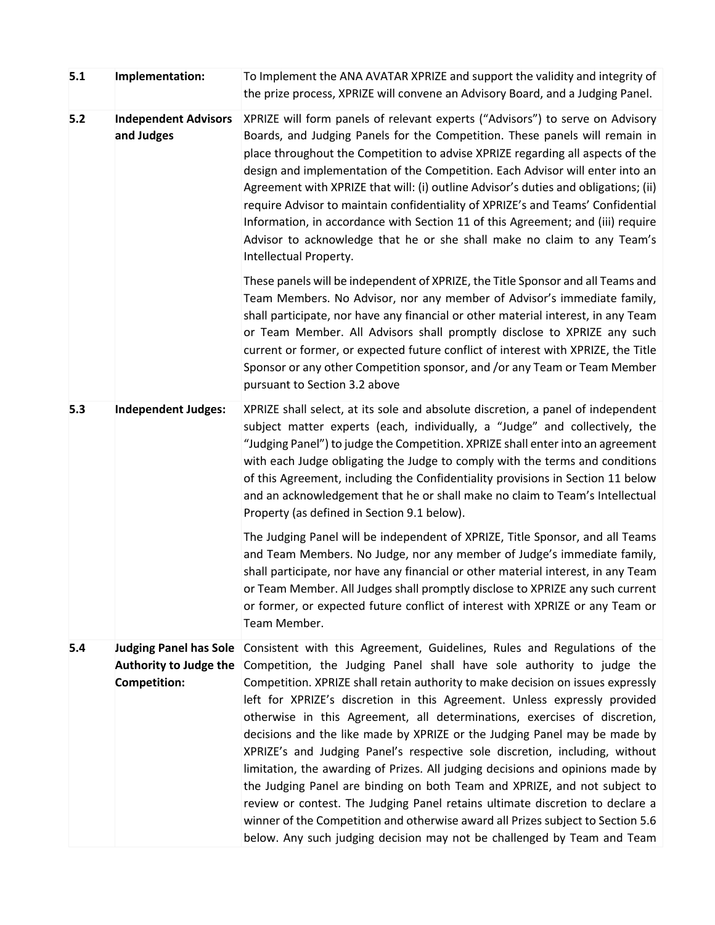| 5.1 | Implementation:                           | To Implement the ANA AVATAR XPRIZE and support the validity and integrity of<br>the prize process, XPRIZE will convene an Advisory Board, and a Judging Panel.                                                                                                                                                                                                                                                                                                                                                                                                                                                                                                                                                                                                                                                                                                                                                                                                                                                         |
|-----|-------------------------------------------|------------------------------------------------------------------------------------------------------------------------------------------------------------------------------------------------------------------------------------------------------------------------------------------------------------------------------------------------------------------------------------------------------------------------------------------------------------------------------------------------------------------------------------------------------------------------------------------------------------------------------------------------------------------------------------------------------------------------------------------------------------------------------------------------------------------------------------------------------------------------------------------------------------------------------------------------------------------------------------------------------------------------|
| 5.2 | <b>Independent Advisors</b><br>and Judges | XPRIZE will form panels of relevant experts ("Advisors") to serve on Advisory<br>Boards, and Judging Panels for the Competition. These panels will remain in<br>place throughout the Competition to advise XPRIZE regarding all aspects of the<br>design and implementation of the Competition. Each Advisor will enter into an<br>Agreement with XPRIZE that will: (i) outline Advisor's duties and obligations; (ii)<br>require Advisor to maintain confidentiality of XPRIZE's and Teams' Confidential<br>Information, in accordance with Section 11 of this Agreement; and (iii) require<br>Advisor to acknowledge that he or she shall make no claim to any Team's<br>Intellectual Property.                                                                                                                                                                                                                                                                                                                      |
|     |                                           | These panels will be independent of XPRIZE, the Title Sponsor and all Teams and<br>Team Members. No Advisor, nor any member of Advisor's immediate family,<br>shall participate, nor have any financial or other material interest, in any Team<br>or Team Member. All Advisors shall promptly disclose to XPRIZE any such<br>current or former, or expected future conflict of interest with XPRIZE, the Title<br>Sponsor or any other Competition sponsor, and /or any Team or Team Member<br>pursuant to Section 3.2 above                                                                                                                                                                                                                                                                                                                                                                                                                                                                                          |
| 5.3 | <b>Independent Judges:</b>                | XPRIZE shall select, at its sole and absolute discretion, a panel of independent<br>subject matter experts (each, individually, a "Judge" and collectively, the<br>"Judging Panel") to judge the Competition. XPRIZE shall enter into an agreement<br>with each Judge obligating the Judge to comply with the terms and conditions<br>of this Agreement, including the Confidentiality provisions in Section 11 below<br>and an acknowledgement that he or shall make no claim to Team's Intellectual<br>Property (as defined in Section 9.1 below).                                                                                                                                                                                                                                                                                                                                                                                                                                                                   |
|     |                                           | The Judging Panel will be independent of XPRIZE, Title Sponsor, and all Teams<br>and Team Members. No Judge, nor any member of Judge's immediate family,<br>shall participate, nor have any financial or other material interest, in any Team<br>or Team Member. All Judges shall promptly disclose to XPRIZE any such current<br>or former, or expected future conflict of interest with XPRIZE or any Team or<br>Team Member.                                                                                                                                                                                                                                                                                                                                                                                                                                                                                                                                                                                        |
| 5.4 | <b>Competition:</b>                       | Judging Panel has Sole Consistent with this Agreement, Guidelines, Rules and Regulations of the<br>Authority to Judge the Competition, the Judging Panel shall have sole authority to judge the<br>Competition. XPRIZE shall retain authority to make decision on issues expressly<br>left for XPRIZE's discretion in this Agreement. Unless expressly provided<br>otherwise in this Agreement, all determinations, exercises of discretion,<br>decisions and the like made by XPRIZE or the Judging Panel may be made by<br>XPRIZE's and Judging Panel's respective sole discretion, including, without<br>limitation, the awarding of Prizes. All judging decisions and opinions made by<br>the Judging Panel are binding on both Team and XPRIZE, and not subject to<br>review or contest. The Judging Panel retains ultimate discretion to declare a<br>winner of the Competition and otherwise award all Prizes subject to Section 5.6<br>below. Any such judging decision may not be challenged by Team and Team |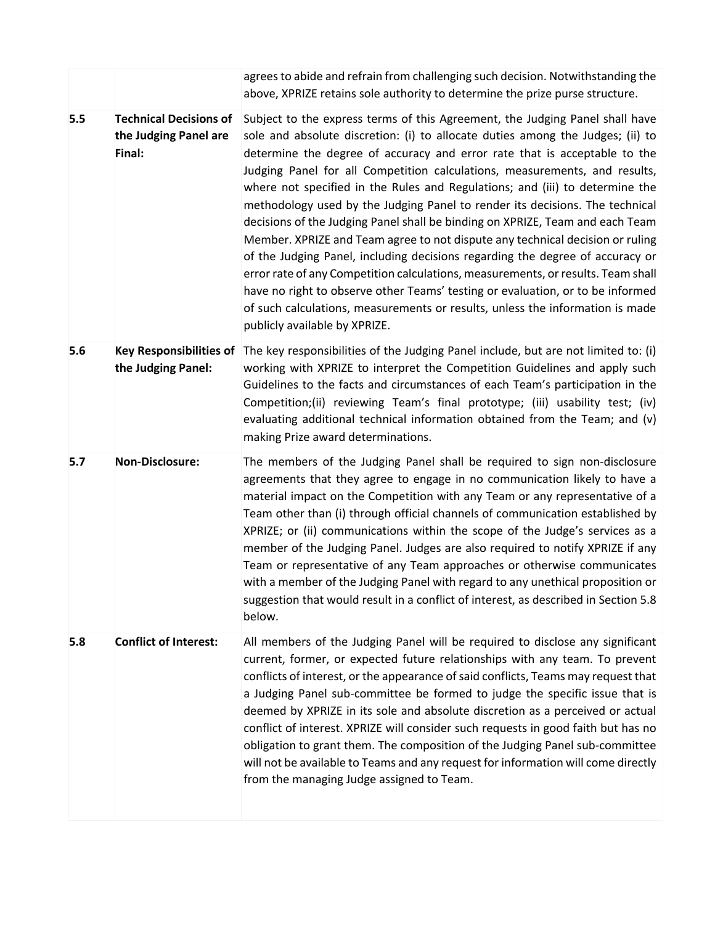|     |                                                                  | agrees to abide and refrain from challenging such decision. Notwithstanding the<br>above, XPRIZE retains sole authority to determine the prize purse structure.                                                                                                                                                                                                                                                                                                                                                                                                                                                                                                                                                                                                                                                                                                                                                                                                                                                                      |
|-----|------------------------------------------------------------------|--------------------------------------------------------------------------------------------------------------------------------------------------------------------------------------------------------------------------------------------------------------------------------------------------------------------------------------------------------------------------------------------------------------------------------------------------------------------------------------------------------------------------------------------------------------------------------------------------------------------------------------------------------------------------------------------------------------------------------------------------------------------------------------------------------------------------------------------------------------------------------------------------------------------------------------------------------------------------------------------------------------------------------------|
| 5.5 | <b>Technical Decisions of</b><br>the Judging Panel are<br>Final: | Subject to the express terms of this Agreement, the Judging Panel shall have<br>sole and absolute discretion: (i) to allocate duties among the Judges; (ii) to<br>determine the degree of accuracy and error rate that is acceptable to the<br>Judging Panel for all Competition calculations, measurements, and results,<br>where not specified in the Rules and Regulations; and (iii) to determine the<br>methodology used by the Judging Panel to render its decisions. The technical<br>decisions of the Judging Panel shall be binding on XPRIZE, Team and each Team<br>Member. XPRIZE and Team agree to not dispute any technical decision or ruling<br>of the Judging Panel, including decisions regarding the degree of accuracy or<br>error rate of any Competition calculations, measurements, or results. Team shall<br>have no right to observe other Teams' testing or evaluation, or to be informed<br>of such calculations, measurements or results, unless the information is made<br>publicly available by XPRIZE. |
| 5.6 | <b>Key Responsibilities of</b><br>the Judging Panel:             | The key responsibilities of the Judging Panel include, but are not limited to: (i)<br>working with XPRIZE to interpret the Competition Guidelines and apply such<br>Guidelines to the facts and circumstances of each Team's participation in the<br>Competition;(ii) reviewing Team's final prototype; (iii) usability test; (iv)<br>evaluating additional technical information obtained from the Team; and (v)<br>making Prize award determinations.                                                                                                                                                                                                                                                                                                                                                                                                                                                                                                                                                                              |
| 5.7 | Non-Disclosure:                                                  | The members of the Judging Panel shall be required to sign non-disclosure<br>agreements that they agree to engage in no communication likely to have a<br>material impact on the Competition with any Team or any representative of a<br>Team other than (i) through official channels of communication established by<br>XPRIZE; or (ii) communications within the scope of the Judge's services as a<br>member of the Judging Panel. Judges are also required to notify XPRIZE if any<br>Team or representative of any Team approaches or otherwise communicates<br>with a member of the Judging Panel with regard to any unethical proposition or<br>suggestion that would result in a conflict of interest, as described in Section 5.8<br>below.                                                                                                                                                                                                                                                                                |
| 5.8 | <b>Conflict of Interest:</b>                                     | All members of the Judging Panel will be required to disclose any significant<br>current, former, or expected future relationships with any team. To prevent<br>conflicts of interest, or the appearance of said conflicts, Teams may request that<br>a Judging Panel sub-committee be formed to judge the specific issue that is<br>deemed by XPRIZE in its sole and absolute discretion as a perceived or actual<br>conflict of interest. XPRIZE will consider such requests in good faith but has no<br>obligation to grant them. The composition of the Judging Panel sub-committee<br>will not be available to Teams and any request for information will come directly<br>from the managing Judge assigned to Team.                                                                                                                                                                                                                                                                                                            |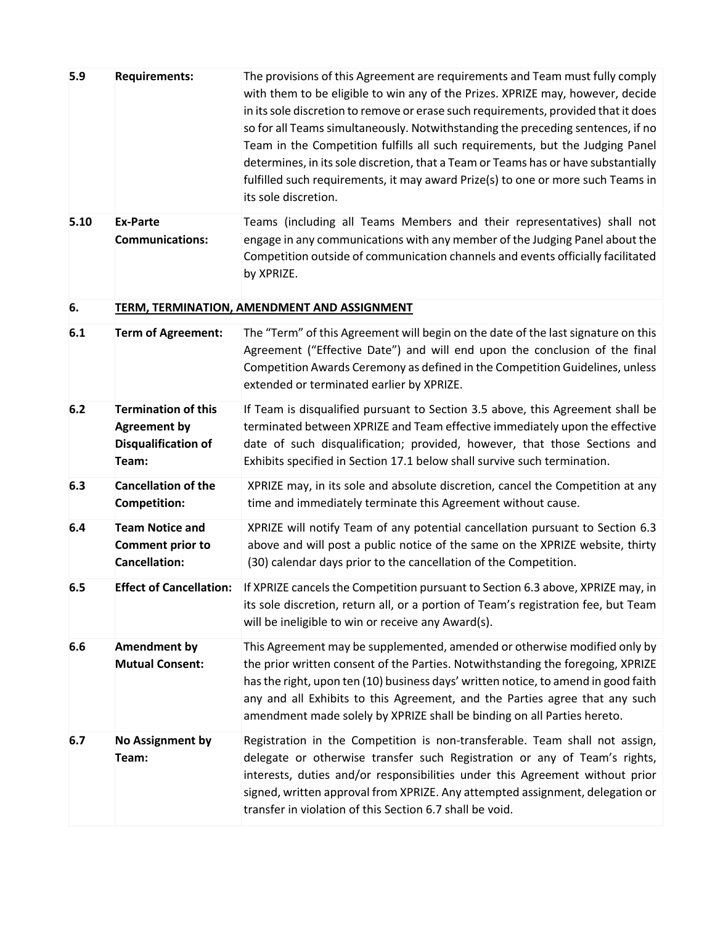| 5.9  | <b>Requirements:</b>                                                                     | The provisions of this Agreement are requirements and Team must fully comply<br>with them to be eligible to win any of the Prizes. XPRIZE may, however, decide<br>in its sole discretion to remove or erase such requirements, provided that it does<br>so for all Teams simultaneously. Notwithstanding the preceding sentences, if no<br>Team in the Competition fulfills all such requirements, but the Judging Panel<br>determines, in its sole discretion, that a Team or Teams has or have substantially<br>fulfilled such requirements, it may award Prize(s) to one or more such Teams in<br>its sole discretion. |
|------|------------------------------------------------------------------------------------------|---------------------------------------------------------------------------------------------------------------------------------------------------------------------------------------------------------------------------------------------------------------------------------------------------------------------------------------------------------------------------------------------------------------------------------------------------------------------------------------------------------------------------------------------------------------------------------------------------------------------------|
| 5.10 | <b>Ex-Parte</b><br><b>Communications:</b>                                                | Teams (including all Teams Members and their representatives) shall not<br>engage in any communications with any member of the Judging Panel about the<br>Competition outside of communication channels and events officially facilitated<br>by XPRIZE.                                                                                                                                                                                                                                                                                                                                                                   |
| 6.   |                                                                                          | TERM, TERMINATION, AMENDMENT AND ASSIGNMENT                                                                                                                                                                                                                                                                                                                                                                                                                                                                                                                                                                               |
| 6.1  | <b>Term of Agreement:</b>                                                                | The "Term" of this Agreement will begin on the date of the last signature on this<br>Agreement ("Effective Date") and will end upon the conclusion of the final<br>Competition Awards Ceremony as defined in the Competition Guidelines, unless<br>extended or terminated earlier by XPRIZE.                                                                                                                                                                                                                                                                                                                              |
| 6.2  | <b>Termination of this</b><br><b>Agreement by</b><br><b>Disqualification of</b><br>Team: | If Team is disqualified pursuant to Section 3.5 above, this Agreement shall be<br>terminated between XPRIZE and Team effective immediately upon the effective<br>date of such disqualification; provided, however, that those Sections and<br>Exhibits specified in Section 17.1 below shall survive such termination.                                                                                                                                                                                                                                                                                                    |
| 6.3  | <b>Cancellation of the</b><br><b>Competition:</b>                                        | XPRIZE may, in its sole and absolute discretion, cancel the Competition at any<br>time and immediately terminate this Agreement without cause.                                                                                                                                                                                                                                                                                                                                                                                                                                                                            |
| 6.4  | <b>Team Notice and</b><br><b>Comment prior to</b><br><b>Cancellation:</b>                | XPRIZE will notify Team of any potential cancellation pursuant to Section 6.3<br>above and will post a public notice of the same on the XPRIZE website, thirty<br>(30) calendar days prior to the cancellation of the Competition.                                                                                                                                                                                                                                                                                                                                                                                        |
| 6.5  | <b>Effect of Cancellation:</b>                                                           | If XPRIZE cancels the Competition pursuant to Section 6.3 above, XPRIZE may, in<br>its sole discretion, return all, or a portion of Team's registration fee, but Team<br>will be ineligible to win or receive any Award(s).                                                                                                                                                                                                                                                                                                                                                                                               |
| 6.6  | <b>Amendment by</b><br><b>Mutual Consent:</b>                                            | This Agreement may be supplemented, amended or otherwise modified only by<br>the prior written consent of the Parties. Notwithstanding the foregoing, XPRIZE<br>has the right, upon ten (10) business days' written notice, to amend in good faith<br>any and all Exhibits to this Agreement, and the Parties agree that any such<br>amendment made solely by XPRIZE shall be binding on all Parties hereto.                                                                                                                                                                                                              |
| 6.7  | No Assignment by<br>Team:                                                                | Registration in the Competition is non-transferable. Team shall not assign,<br>delegate or otherwise transfer such Registration or any of Team's rights,<br>interests, duties and/or responsibilities under this Agreement without prior<br>signed, written approval from XPRIZE. Any attempted assignment, delegation or<br>transfer in violation of this Section 6.7 shall be void.                                                                                                                                                                                                                                     |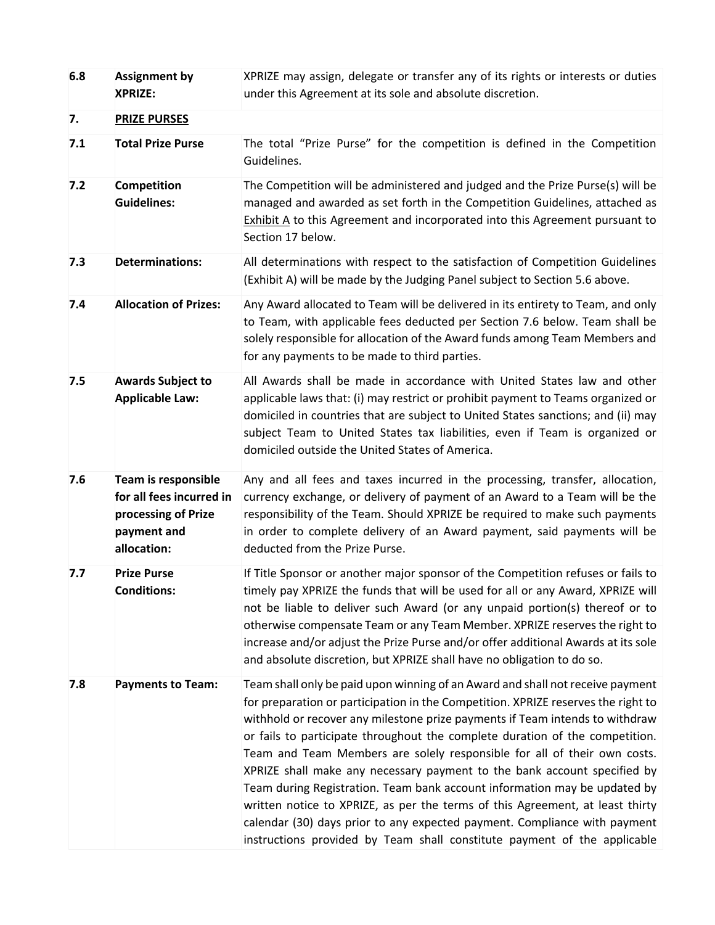| 6.8 | <b>Assignment by</b><br><b>XPRIZE:</b>                                                               | XPRIZE may assign, delegate or transfer any of its rights or interests or duties<br>under this Agreement at its sole and absolute discretion.                                                                                                                                                                                                                                                                                                                                                                                                                                                                                                                                                                                                                                                                      |
|-----|------------------------------------------------------------------------------------------------------|--------------------------------------------------------------------------------------------------------------------------------------------------------------------------------------------------------------------------------------------------------------------------------------------------------------------------------------------------------------------------------------------------------------------------------------------------------------------------------------------------------------------------------------------------------------------------------------------------------------------------------------------------------------------------------------------------------------------------------------------------------------------------------------------------------------------|
| 7.  | <b>PRIZE PURSES</b>                                                                                  |                                                                                                                                                                                                                                                                                                                                                                                                                                                                                                                                                                                                                                                                                                                                                                                                                    |
| 7.1 | <b>Total Prize Purse</b>                                                                             | The total "Prize Purse" for the competition is defined in the Competition<br>Guidelines.                                                                                                                                                                                                                                                                                                                                                                                                                                                                                                                                                                                                                                                                                                                           |
| 7.2 | Competition<br><b>Guidelines:</b>                                                                    | The Competition will be administered and judged and the Prize Purse(s) will be<br>managed and awarded as set forth in the Competition Guidelines, attached as<br>Exhibit A to this Agreement and incorporated into this Agreement pursuant to<br>Section 17 below.                                                                                                                                                                                                                                                                                                                                                                                                                                                                                                                                                 |
| 7.3 | <b>Determinations:</b>                                                                               | All determinations with respect to the satisfaction of Competition Guidelines<br>(Exhibit A) will be made by the Judging Panel subject to Section 5.6 above.                                                                                                                                                                                                                                                                                                                                                                                                                                                                                                                                                                                                                                                       |
| 7.4 | <b>Allocation of Prizes:</b>                                                                         | Any Award allocated to Team will be delivered in its entirety to Team, and only<br>to Team, with applicable fees deducted per Section 7.6 below. Team shall be<br>solely responsible for allocation of the Award funds among Team Members and<br>for any payments to be made to third parties.                                                                                                                                                                                                                                                                                                                                                                                                                                                                                                                     |
| 7.5 | <b>Awards Subject to</b><br><b>Applicable Law:</b>                                                   | All Awards shall be made in accordance with United States law and other<br>applicable laws that: (i) may restrict or prohibit payment to Teams organized or<br>domiciled in countries that are subject to United States sanctions; and (ii) may<br>subject Team to United States tax liabilities, even if Team is organized or<br>domiciled outside the United States of America.                                                                                                                                                                                                                                                                                                                                                                                                                                  |
| 7.6 | Team is responsible<br>for all fees incurred in<br>processing of Prize<br>payment and<br>allocation: | Any and all fees and taxes incurred in the processing, transfer, allocation,<br>currency exchange, or delivery of payment of an Award to a Team will be the<br>responsibility of the Team. Should XPRIZE be required to make such payments<br>in order to complete delivery of an Award payment, said payments will be<br>deducted from the Prize Purse.                                                                                                                                                                                                                                                                                                                                                                                                                                                           |
| 7.7 | <b>Prize Purse</b><br><b>Conditions:</b>                                                             | If Title Sponsor or another major sponsor of the Competition refuses or fails to<br>timely pay XPRIZE the funds that will be used for all or any Award, XPRIZE will<br>not be liable to deliver such Award (or any unpaid portion(s) thereof or to<br>otherwise compensate Team or any Team Member. XPRIZE reserves the right to<br>increase and/or adjust the Prize Purse and/or offer additional Awards at its sole<br>and absolute discretion, but XPRIZE shall have no obligation to do so.                                                                                                                                                                                                                                                                                                                    |
| 7.8 | <b>Payments to Team:</b>                                                                             | Team shall only be paid upon winning of an Award and shall not receive payment<br>for preparation or participation in the Competition. XPRIZE reserves the right to<br>withhold or recover any milestone prize payments if Team intends to withdraw<br>or fails to participate throughout the complete duration of the competition.<br>Team and Team Members are solely responsible for all of their own costs.<br>XPRIZE shall make any necessary payment to the bank account specified by<br>Team during Registration. Team bank account information may be updated by<br>written notice to XPRIZE, as per the terms of this Agreement, at least thirty<br>calendar (30) days prior to any expected payment. Compliance with payment<br>instructions provided by Team shall constitute payment of the applicable |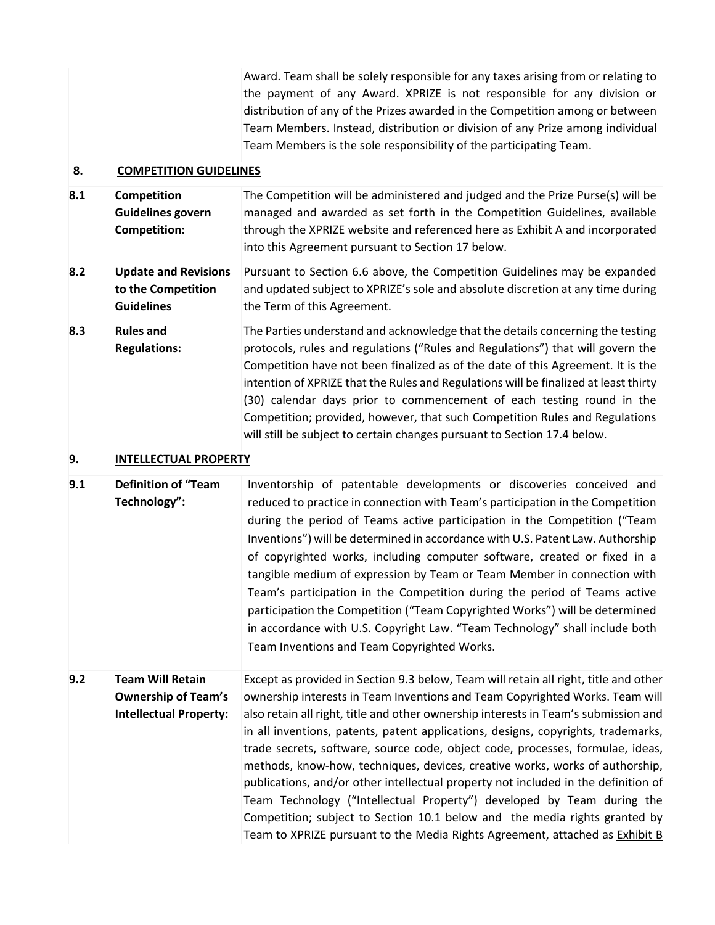|     |                                                                                        | Award. Team shall be solely responsible for any taxes arising from or relating to<br>the payment of any Award. XPRIZE is not responsible for any division or<br>distribution of any of the Prizes awarded in the Competition among or between<br>Team Members. Instead, distribution or division of any Prize among individual<br>Team Members is the sole responsibility of the participating Team.                                                                                                                                                                                                                                                                                                                                                                                                                                             |
|-----|----------------------------------------------------------------------------------------|--------------------------------------------------------------------------------------------------------------------------------------------------------------------------------------------------------------------------------------------------------------------------------------------------------------------------------------------------------------------------------------------------------------------------------------------------------------------------------------------------------------------------------------------------------------------------------------------------------------------------------------------------------------------------------------------------------------------------------------------------------------------------------------------------------------------------------------------------|
| 8.  | <b>COMPETITION GUIDELINES</b>                                                          |                                                                                                                                                                                                                                                                                                                                                                                                                                                                                                                                                                                                                                                                                                                                                                                                                                                  |
| 8.1 | Competition<br><b>Guidelines govern</b><br><b>Competition:</b>                         | The Competition will be administered and judged and the Prize Purse(s) will be<br>managed and awarded as set forth in the Competition Guidelines, available<br>through the XPRIZE website and referenced here as Exhibit A and incorporated<br>into this Agreement pursuant to Section 17 below.                                                                                                                                                                                                                                                                                                                                                                                                                                                                                                                                                 |
| 8.2 | <b>Update and Revisions</b><br>to the Competition<br><b>Guidelines</b>                 | Pursuant to Section 6.6 above, the Competition Guidelines may be expanded<br>and updated subject to XPRIZE's sole and absolute discretion at any time during<br>the Term of this Agreement.                                                                                                                                                                                                                                                                                                                                                                                                                                                                                                                                                                                                                                                      |
| 8.3 | <b>Rules and</b><br><b>Regulations:</b>                                                | The Parties understand and acknowledge that the details concerning the testing<br>protocols, rules and regulations ("Rules and Regulations") that will govern the<br>Competition have not been finalized as of the date of this Agreement. It is the<br>intention of XPRIZE that the Rules and Regulations will be finalized at least thirty<br>(30) calendar days prior to commencement of each testing round in the<br>Competition; provided, however, that such Competition Rules and Regulations<br>will still be subject to certain changes pursuant to Section 17.4 below.                                                                                                                                                                                                                                                                 |
| 9.  | <b>INTELLECTUAL PROPERTY</b>                                                           |                                                                                                                                                                                                                                                                                                                                                                                                                                                                                                                                                                                                                                                                                                                                                                                                                                                  |
| 9.1 | <b>Definition of "Team</b><br>Technology":                                             | Inventorship of patentable developments or discoveries conceived and<br>reduced to practice in connection with Team's participation in the Competition<br>during the period of Teams active participation in the Competition ("Team<br>Inventions") will be determined in accordance with U.S. Patent Law. Authorship<br>of copyrighted works, including computer software, created or fixed in a<br>tangible medium of expression by Team or Team Member in connection with<br>Team's participation in the Competition during the period of Teams active<br>participation the Competition ("Team Copyrighted Works") will be determined<br>in accordance with U.S. Copyright Law. "Team Technology" shall include both<br>Team Inventions and Team Copyrighted Works.                                                                           |
| 9.2 | <b>Team Will Retain</b><br><b>Ownership of Team's</b><br><b>Intellectual Property:</b> | Except as provided in Section 9.3 below, Team will retain all right, title and other<br>ownership interests in Team Inventions and Team Copyrighted Works. Team will<br>also retain all right, title and other ownership interests in Team's submission and<br>in all inventions, patents, patent applications, designs, copyrights, trademarks,<br>trade secrets, software, source code, object code, processes, formulae, ideas,<br>methods, know-how, techniques, devices, creative works, works of authorship,<br>publications, and/or other intellectual property not included in the definition of<br>Team Technology ("Intellectual Property") developed by Team during the<br>Competition; subject to Section 10.1 below and the media rights granted by<br>Team to XPRIZE pursuant to the Media Rights Agreement, attached as Exhibit B |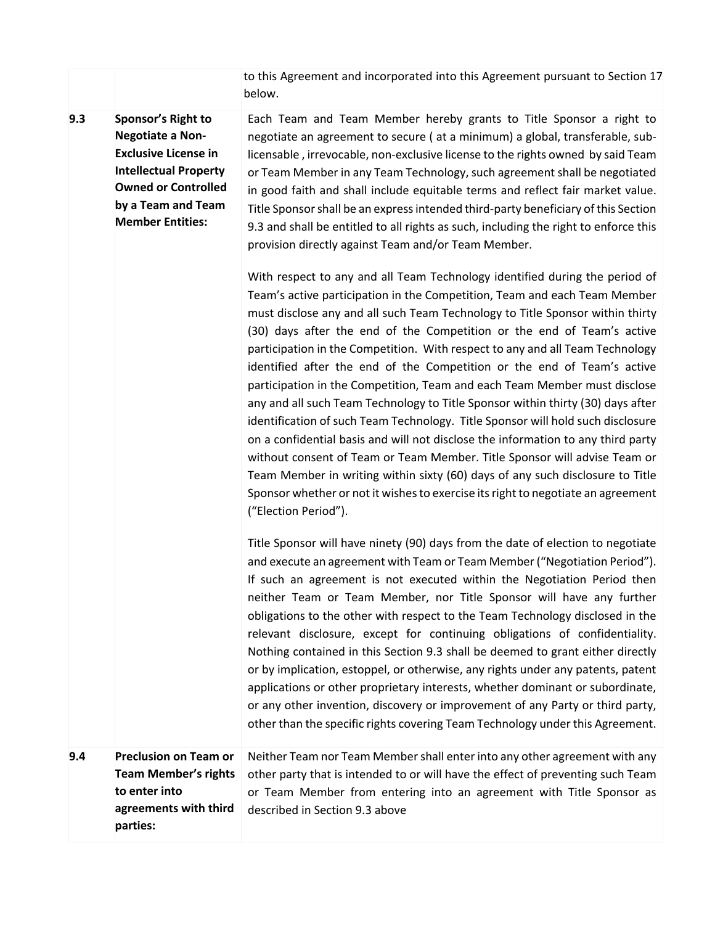to this Agreement and incorporated into this Agreement pursuant to Section 17 below.

#### **9.3 Sponsor's Right to Negotiate a Non-Exclusive License in Intellectual Property Owned or Controlled by a Team and Team Member Entities:** Each Team and Team Member hereby grants to Title Sponsor a right to negotiate an agreement to secure ( at a minimum) a global, transferable, sublicensable , irrevocable, non-exclusive license to the rights owned by said Team or Team Member in any Team Technology, such agreement shall be negotiated in good faith and shall include equitable terms and reflect fair market value. Title Sponsor shall be an express intended third-party beneficiary of this Section 9.3 and shall be entitled to all rights as such, including the right to enforce this provision directly against Team and/or Team Member. With respect to any and all Team Technology identified during the period of Team's active participation in the Competition, Team and each Team Member must disclose any and all such Team Technology to Title Sponsor within thirty (30) days after the end of the Competition or the end of Team's active participation in the Competition. With respect to any and all Team Technology identified after the end of the Competition or the end of Team's active participation in the Competition, Team and each Team Member must disclose any and all such Team Technology to Title Sponsor within thirty (30) days after identification of such Team Technology. Title Sponsor will hold such disclosure on a confidential basis and will not disclose the information to any third party without consent of Team or Team Member. Title Sponsor will advise Team or Team Member in writing within sixty (60) days of any such disclosure to Title Sponsor whether or not it wishes to exercise its right to negotiate an agreement ("Election Period"). Title Sponsor will have ninety (90) days from the date of election to negotiate and execute an agreement with Team or Team Member ("Negotiation Period"). If such an agreement is not executed within the Negotiation Period then neither Team or Team Member, nor Title Sponsor will have any further obligations to the other with respect to the Team Technology disclosed in the relevant disclosure, except for continuing obligations of confidentiality. Nothing contained in this Section 9.3 shall be deemed to grant either directly or by implication, estoppel, or otherwise, any rights under any patents, patent applications or other proprietary interests, whether dominant or subordinate, or any other invention, discovery or improvement of any Party or third party, other than the specific rights covering Team Technology under this Agreement. **9.4 Preclusion on Team or Team Member's rights to enter into agreements with third parties:** Neither Team nor Team Member shall enter into any other agreement with any other party that is intended to or will have the effect of preventing such Team or Team Member from entering into an agreement with Title Sponsor as described in Section 9.3 above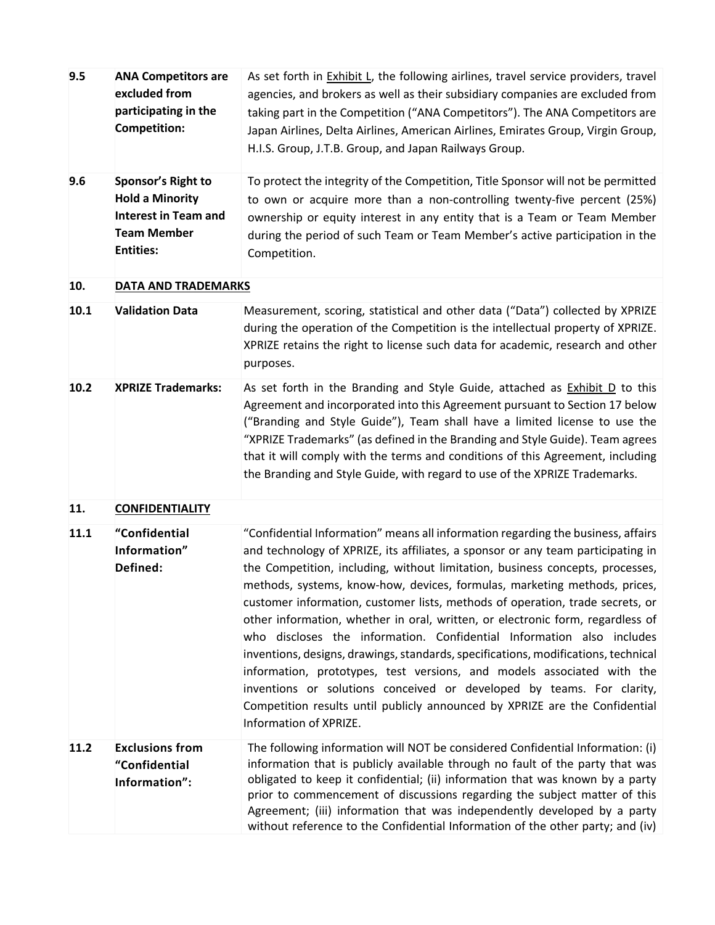| 9.5  | <b>ANA Competitors are</b><br>excluded from<br>participating in the<br><b>Competition:</b>                            | As set forth in <b>Exhibit L</b> , the following airlines, travel service providers, travel<br>agencies, and brokers as well as their subsidiary companies are excluded from<br>taking part in the Competition ("ANA Competitors"). The ANA Competitors are<br>Japan Airlines, Delta Airlines, American Airlines, Emirates Group, Virgin Group,<br>H.I.S. Group, J.T.B. Group, and Japan Railways Group.                                                                                                                                                                                                                                                                                                                                                                                                                                                                                                                         |
|------|-----------------------------------------------------------------------------------------------------------------------|----------------------------------------------------------------------------------------------------------------------------------------------------------------------------------------------------------------------------------------------------------------------------------------------------------------------------------------------------------------------------------------------------------------------------------------------------------------------------------------------------------------------------------------------------------------------------------------------------------------------------------------------------------------------------------------------------------------------------------------------------------------------------------------------------------------------------------------------------------------------------------------------------------------------------------|
| 9.6  | Sponsor's Right to<br><b>Hold a Minority</b><br><b>Interest in Team and</b><br><b>Team Member</b><br><b>Entities:</b> | To protect the integrity of the Competition, Title Sponsor will not be permitted<br>to own or acquire more than a non-controlling twenty-five percent (25%)<br>ownership or equity interest in any entity that is a Team or Team Member<br>during the period of such Team or Team Member's active participation in the<br>Competition.                                                                                                                                                                                                                                                                                                                                                                                                                                                                                                                                                                                           |
| 10.  | <b>DATA AND TRADEMARKS</b>                                                                                            |                                                                                                                                                                                                                                                                                                                                                                                                                                                                                                                                                                                                                                                                                                                                                                                                                                                                                                                                  |
| 10.1 | <b>Validation Data</b>                                                                                                | Measurement, scoring, statistical and other data ("Data") collected by XPRIZE<br>during the operation of the Competition is the intellectual property of XPRIZE.<br>XPRIZE retains the right to license such data for academic, research and other<br>purposes.                                                                                                                                                                                                                                                                                                                                                                                                                                                                                                                                                                                                                                                                  |
| 10.2 | <b>XPRIZE Trademarks:</b>                                                                                             | As set forth in the Branding and Style Guide, attached as <b>Exhibit D</b> to this<br>Agreement and incorporated into this Agreement pursuant to Section 17 below<br>("Branding and Style Guide"), Team shall have a limited license to use the<br>"XPRIZE Trademarks" (as defined in the Branding and Style Guide). Team agrees<br>that it will comply with the terms and conditions of this Agreement, including<br>the Branding and Style Guide, with regard to use of the XPRIZE Trademarks.                                                                                                                                                                                                                                                                                                                                                                                                                                 |
| 11.  | <b>CONFIDENTIALITY</b>                                                                                                |                                                                                                                                                                                                                                                                                                                                                                                                                                                                                                                                                                                                                                                                                                                                                                                                                                                                                                                                  |
| 11.1 | "Confidential<br>Information"<br>Defined:                                                                             | "Confidential Information" means all information regarding the business, affairs<br>and technology of XPRIZE, its affiliates, a sponsor or any team participating in<br>the Competition, including, without limitation, business concepts, processes,<br>methods, systems, know-how, devices, formulas, marketing methods, prices,<br>customer information, customer lists, methods of operation, trade secrets, or<br>other information, whether in oral, written, or electronic form, regardless of<br>who discloses the information. Confidential Information also includes<br>inventions, designs, drawings, standards, specifications, modifications, technical<br>information, prototypes, test versions, and models associated with the<br>inventions or solutions conceived or developed by teams. For clarity,<br>Competition results until publicly announced by XPRIZE are the Confidential<br>Information of XPRIZE. |
| 11.2 | <b>Exclusions from</b><br>"Confidential<br>Information":                                                              | The following information will NOT be considered Confidential Information: (i)<br>information that is publicly available through no fault of the party that was<br>obligated to keep it confidential; (ii) information that was known by a party<br>prior to commencement of discussions regarding the subject matter of this<br>Agreement; (iii) information that was independently developed by a party<br>without reference to the Confidential Information of the other party; and (iv)                                                                                                                                                                                                                                                                                                                                                                                                                                      |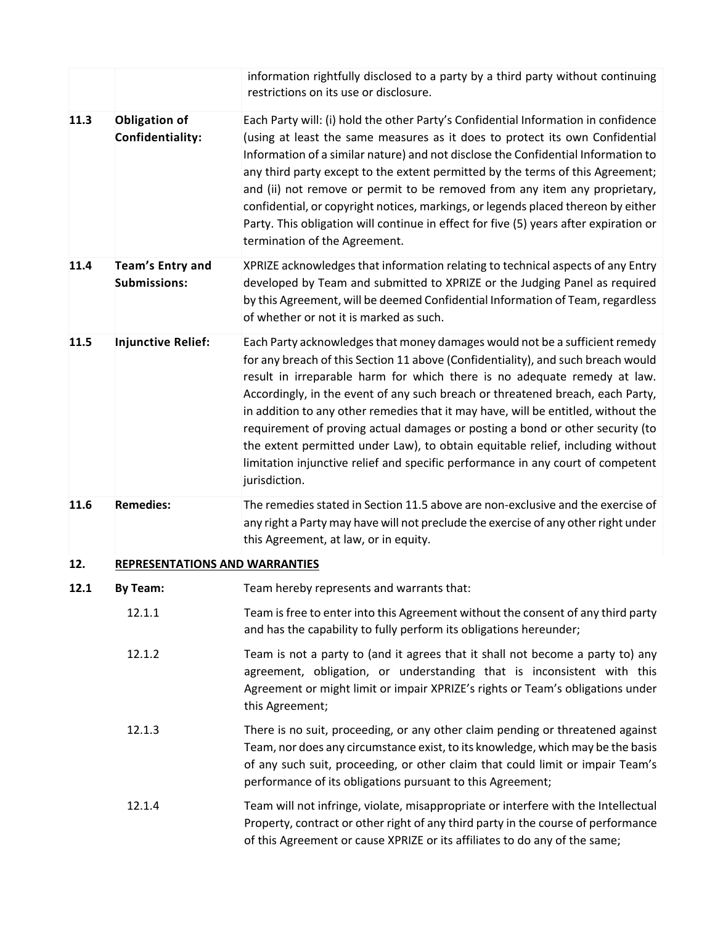|      |                                          | information rightfully disclosed to a party by a third party without continuing<br>restrictions on its use or disclosure.                                                                                                                                                                                                                                                                                                                                                                                                                                                                                                                                                                 |
|------|------------------------------------------|-------------------------------------------------------------------------------------------------------------------------------------------------------------------------------------------------------------------------------------------------------------------------------------------------------------------------------------------------------------------------------------------------------------------------------------------------------------------------------------------------------------------------------------------------------------------------------------------------------------------------------------------------------------------------------------------|
| 11.3 | <b>Obligation of</b><br>Confidentiality: | Each Party will: (i) hold the other Party's Confidential Information in confidence<br>(using at least the same measures as it does to protect its own Confidential<br>Information of a similar nature) and not disclose the Confidential Information to<br>any third party except to the extent permitted by the terms of this Agreement;<br>and (ii) not remove or permit to be removed from any item any proprietary,<br>confidential, or copyright notices, markings, or legends placed thereon by either<br>Party. This obligation will continue in effect for five (5) years after expiration or<br>termination of the Agreement.                                                    |
| 11.4 | <b>Team's Entry and</b><br>Submissions:  | XPRIZE acknowledges that information relating to technical aspects of any Entry<br>developed by Team and submitted to XPRIZE or the Judging Panel as required<br>by this Agreement, will be deemed Confidential Information of Team, regardless<br>of whether or not it is marked as such.                                                                                                                                                                                                                                                                                                                                                                                                |
| 11.5 | <b>Injunctive Relief:</b>                | Each Party acknowledges that money damages would not be a sufficient remedy<br>for any breach of this Section 11 above (Confidentiality), and such breach would<br>result in irreparable harm for which there is no adequate remedy at law.<br>Accordingly, in the event of any such breach or threatened breach, each Party,<br>in addition to any other remedies that it may have, will be entitled, without the<br>requirement of proving actual damages or posting a bond or other security (to<br>the extent permitted under Law), to obtain equitable relief, including without<br>limitation injunctive relief and specific performance in any court of competent<br>jurisdiction. |
| 11.6 | <b>Remedies:</b>                         | The remedies stated in Section 11.5 above are non-exclusive and the exercise of<br>any right a Party may have will not preclude the exercise of any other right under<br>this Agreement, at law, or in equity.                                                                                                                                                                                                                                                                                                                                                                                                                                                                            |
| 12.  | REPRESENTATIONS AND WARRANTIES           |                                                                                                                                                                                                                                                                                                                                                                                                                                                                                                                                                                                                                                                                                           |
| 12.1 | <b>By Team:</b>                          | Team hereby represents and warrants that:                                                                                                                                                                                                                                                                                                                                                                                                                                                                                                                                                                                                                                                 |
|      | 12.1.1                                   | Team is free to enter into this Agreement without the consent of any third party<br>and has the capability to fully perform its obligations hereunder;                                                                                                                                                                                                                                                                                                                                                                                                                                                                                                                                    |
|      | 12.1.2                                   | Team is not a party to (and it agrees that it shall not become a party to) any<br>agreement, obligation, or understanding that is inconsistent with this<br>Agreement or might limit or impair XPRIZE's rights or Team's obligations under<br>this Agreement;                                                                                                                                                                                                                                                                                                                                                                                                                             |
|      | 12.1.3                                   | There is no suit, proceeding, or any other claim pending or threatened against<br>Team, nor does any circumstance exist, to its knowledge, which may be the basis<br>of any such suit, proceeding, or other claim that could limit or impair Team's<br>performance of its obligations pursuant to this Agreement;                                                                                                                                                                                                                                                                                                                                                                         |
|      | 12.1.4                                   | Team will not infringe, violate, misappropriate or interfere with the Intellectual<br>Property, contract or other right of any third party in the course of performance<br>of this Agreement or cause XPRIZE or its affiliates to do any of the same;                                                                                                                                                                                                                                                                                                                                                                                                                                     |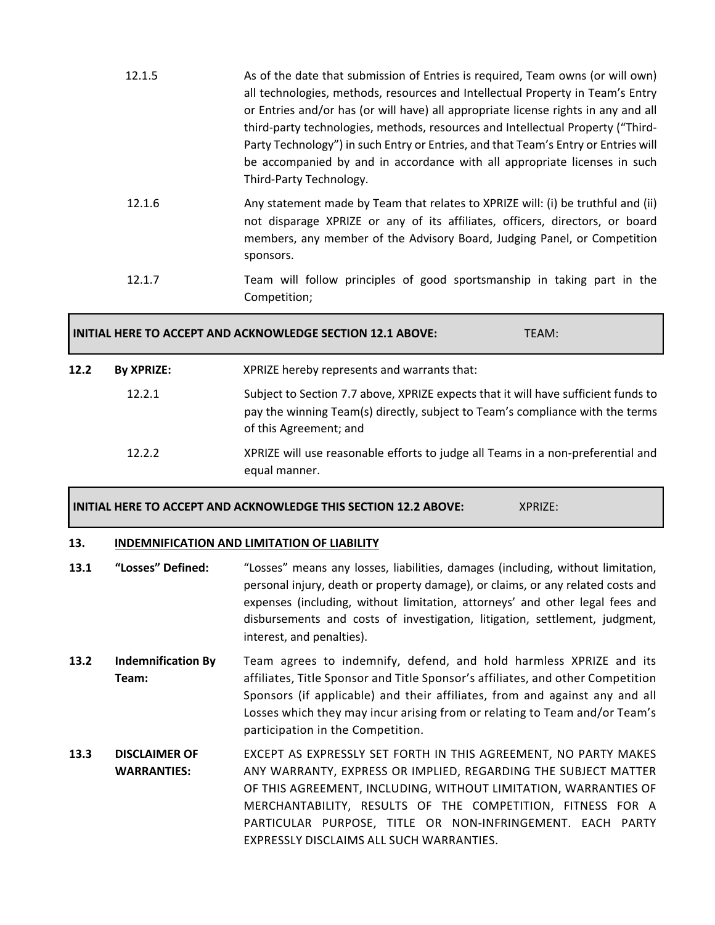| 12.1.5 | As of the date that submission of Entries is required, Team owns (or will own)<br>all technologies, methods, resources and Intellectual Property in Team's Entry<br>or Entries and/or has (or will have) all appropriate license rights in any and all<br>third-party technologies, methods, resources and Intellectual Property ("Third-<br>Party Technology") in such Entry or Entries, and that Team's Entry or Entries will<br>be accompanied by and in accordance with all appropriate licenses in such<br>Third-Party Technology. |
|--------|-----------------------------------------------------------------------------------------------------------------------------------------------------------------------------------------------------------------------------------------------------------------------------------------------------------------------------------------------------------------------------------------------------------------------------------------------------------------------------------------------------------------------------------------|
| 12.1.6 | Any statement made by Team that relates to XPRIZE will: (i) be truthful and (ii)<br>not disparage XPRIZE or any of its affiliates, officers, directors, or board<br>members, any member of the Advisory Board, Judging Panel, or Competition<br>sponsors.                                                                                                                                                                                                                                                                               |
| 12.1.7 | Team will follow principles of good sportsmanship in taking part in the<br>Competition;                                                                                                                                                                                                                                                                                                                                                                                                                                                 |

# **INITIAL HERE TO ACCEPT AND ACKNOWLEDGE SECTION 12.1 ABOVE:** TEAM:

**12.2 By XPRIZE:** XPRIZE hereby represents and warrants that: 12.2.1 Subject to Section 7.7 above, XPRIZE expects that it will have sufficient funds to pay the winning Team(s) directly, subject to Team's compliance with the terms of this Agreement; and 12.2.2 XPRIZE will use reasonable efforts to judge all Teams in a non-preferential and equal manner.

#### **INITIAL HERE TO ACCEPT AND ACKNOWLEDGE THIS SECTION 12.2 ABOVE:** XPRIZE:

#### **13. INDEMNIFICATION AND LIMITATION OF LIABILITY**

| 13.1 | "Losses" Defined: | "Losses" means any losses, liabilities, damages (including, without limitation, |
|------|-------------------|---------------------------------------------------------------------------------|
|      |                   | personal injury, death or property damage), or claims, or any related costs and |
|      |                   | expenses (including, without limitation, attorneys' and other legal fees and    |
|      |                   | disbursements and costs of investigation, litigation, settlement, judgment,     |
|      |                   | interest, and penalties).                                                       |

- **13.2 Indemnification By Team:** Team agrees to indemnify, defend, and hold harmless XPRIZE and its affiliates, Title Sponsor and Title Sponsor's affiliates, and other Competition Sponsors (if applicable) and their affiliates, from and against any and all Losses which they may incur arising from or relating to Team and/or Team's participation in the Competition.
- **13.3 DISCLAIMER OF WARRANTIES:** EXCEPT AS EXPRESSLY SET FORTH IN THIS AGREEMENT, NO PARTY MAKES ANY WARRANTY, EXPRESS OR IMPLIED, REGARDING THE SUBJECT MATTER OF THIS AGREEMENT, INCLUDING, WITHOUT LIMITATION, WARRANTIES OF MERCHANTABILITY, RESULTS OF THE COMPETITION, FITNESS FOR A PARTICULAR PURPOSE, TITLE OR NON-INFRINGEMENT. EACH PARTY EXPRESSLY DISCLAIMS ALL SUCH WARRANTIES.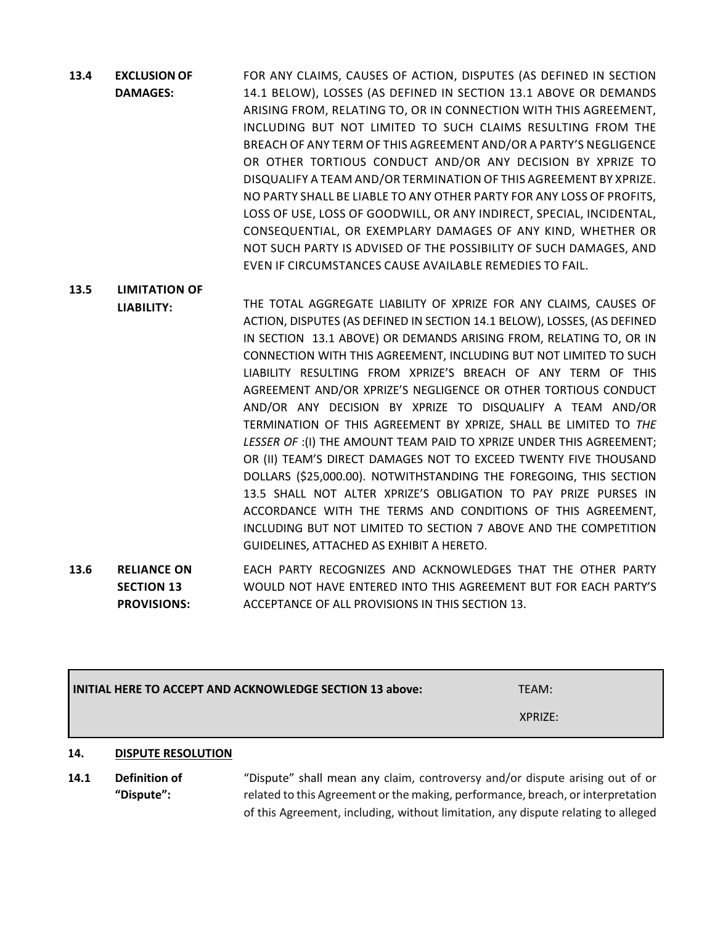| 13.4 | <b>EXCLUSION OF</b> | FOR ANY CLAIMS, CAUSES OF ACTION, DISPUTES (AS DEFINED IN SECTION    |
|------|---------------------|----------------------------------------------------------------------|
|      | <b>DAMAGES:</b>     | 14.1 BELOW), LOSSES (AS DEFINED IN SECTION 13.1 ABOVE OR DEMANDS     |
|      |                     | ARISING FROM, RELATING TO, OR IN CONNECTION WITH THIS AGREEMENT,     |
|      |                     | INCLUDING BUT NOT LIMITED TO SUCH CLAIMS RESULTING FROM THE          |
|      |                     | BREACH OF ANY TERM OF THIS AGREEMENT AND/OR A PARTY'S NEGLIGENCE     |
|      |                     | OR OTHER TORTIOUS CONDUCT AND/OR ANY DECISION BY XPRIZE TO           |
|      |                     | DISQUALIFY A TEAM AND/OR TERMINATION OF THIS AGREEMENT BY XPRIZE.    |
|      |                     | NO PARTY SHALL BE LIABLE TO ANY OTHER PARTY FOR ANY LOSS OF PROFITS, |
|      |                     | LOSS OF USE, LOSS OF GOODWILL, OR ANY INDIRECT, SPECIAL, INCIDENTAL, |
|      |                     | CONSEQUENTIAL, OR EXEMPLARY DAMAGES OF ANY KIND, WHETHER OR          |
|      |                     | NOT SUCH PARTY IS ADVISED OF THE POSSIBILITY OF SUCH DAMAGES, AND    |
|      |                     | EVEN IF CIRCUMSTANCES CAUSE AVAILABLE REMEDIES TO FAIL.              |

# **13.5 LIMITATION OF**

**LIABILITY:** THE TOTAL AGGREGATE LIABILITY OF XPRIZE FOR ANY CLAIMS, CAUSES OF ACTION, DISPUTES (AS DEFINED IN SECTION 14.1 BELOW), LOSSES, (AS DEFINED IN SECTION 13.1 ABOVE) OR DEMANDS ARISING FROM, RELATING TO, OR IN CONNECTION WITH THIS AGREEMENT, INCLUDING BUT NOT LIMITED TO SUCH LIABILITY RESULTING FROM XPRIZE'S BREACH OF ANY TERM OF THIS AGREEMENT AND/OR XPRIZE'S NEGLIGENCE OR OTHER TORTIOUS CONDUCT AND/OR ANY DECISION BY XPRIZE TO DISQUALIFY A TEAM AND/OR TERMINATION OF THIS AGREEMENT BY XPRIZE, SHALL BE LIMITED TO *THE LESSER OF* :(I) THE AMOUNT TEAM PAID TO XPRIZE UNDER THIS AGREEMENT; OR (II) TEAM'S DIRECT DAMAGES NOT TO EXCEED TWENTY FIVE THOUSAND DOLLARS (\$25,000.00). NOTWITHSTANDING THE FOREGOING, THIS SECTION 13.5 SHALL NOT ALTER XPRIZE'S OBLIGATION TO PAY PRIZE PURSES IN ACCORDANCE WITH THE TERMS AND CONDITIONS OF THIS AGREEMENT, INCLUDING BUT NOT LIMITED TO SECTION 7 ABOVE AND THE COMPETITION GUIDELINES, ATTACHED AS EXHIBIT A HERETO.

**13.6 RELIANCE ON SECTION 13 PROVISIONS:** EACH PARTY RECOGNIZES AND ACKNOWLEDGES THAT THE OTHER PARTY WOULD NOT HAVE ENTERED INTO THIS AGREEMENT BUT FOR EACH PARTY'S ACCEPTANCE OF ALL PROVISIONS IN THIS SECTION 13.

| <b>LINITIAL HERE TO ACCEPT AND ACKNOWLEDGE SECTION 13 above:</b> | TEAM:   |
|------------------------------------------------------------------|---------|
|                                                                  | XPRIZE: |

#### **14. DISPUTE RESOLUTION**

**14.1 Definition of "Dispute":** "Dispute" shall mean any claim, controversy and/or dispute arising out of or related to this Agreement or the making, performance, breach, or interpretation of this Agreement, including, without limitation, any dispute relating to alleged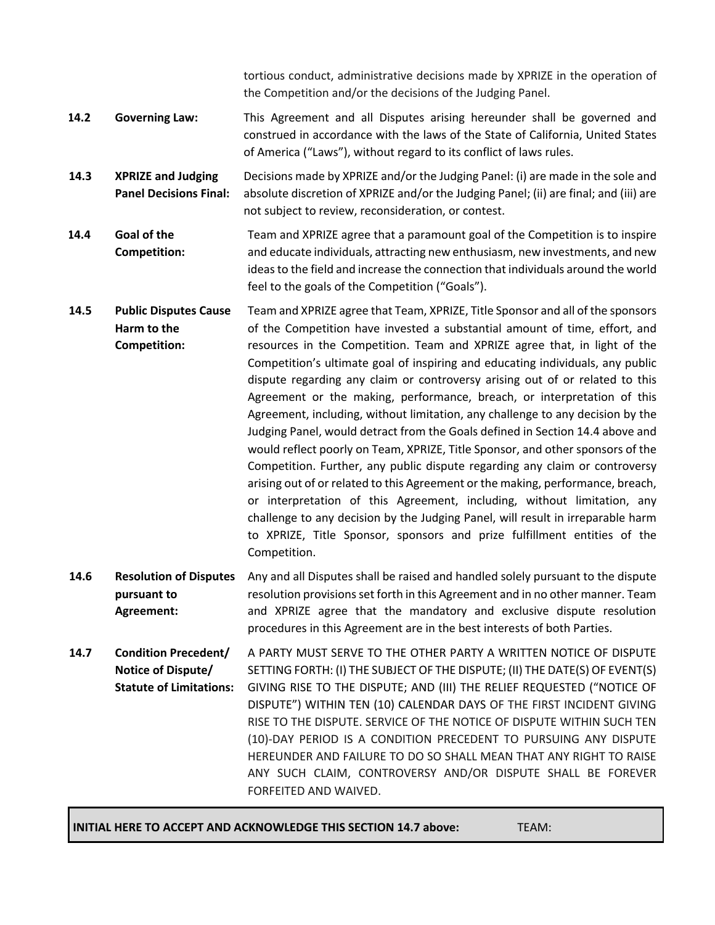tortious conduct, administrative decisions made by XPRIZE in the operation of the Competition and/or the decisions of the Judging Panel. **14.2 Governing Law:** This Agreement and all Disputes arising hereunder shall be governed and construed in accordance with the laws of the State of California, United States of America ("Laws"), without regard to its conflict of laws rules. **14.3 XPRIZE and Judging Panel Decisions Final:** Decisions made by XPRIZE and/or the Judging Panel: (i) are made in the sole and absolute discretion of XPRIZE and/or the Judging Panel; (ii) are final; and (iii) are not subject to review, reconsideration, or contest. **14.4 Goal of the Competition:** Team and XPRIZE agree that a paramount goal of the Competition is to inspire and educate individuals, attracting new enthusiasm, new investments, and new ideas to the field and increase the connection that individuals around the world feel to the goals of the Competition ("Goals"). **14.5 Public Disputes Cause Harm to the Competition:** Team and XPRIZE agree that Team, XPRIZE, Title Sponsor and all of the sponsors of the Competition have invested a substantial amount of time, effort, and resources in the Competition. Team and XPRIZE agree that, in light of the Competition's ultimate goal of inspiring and educating individuals, any public dispute regarding any claim or controversy arising out of or related to this Agreement or the making, performance, breach, or interpretation of this Agreement, including, without limitation, any challenge to any decision by the Judging Panel, would detract from the Goals defined in Section 14.4 above and would reflect poorly on Team, XPRIZE, Title Sponsor, and other sponsors of the Competition. Further, any public dispute regarding any claim or controversy arising out of or related to this Agreement or the making, performance, breach, or interpretation of this Agreement, including, without limitation, any challenge to any decision by the Judging Panel, will result in irreparable harm to XPRIZE, Title Sponsor, sponsors and prize fulfillment entities of the Competition. **14.6 Resolution of Disputes pursuant to Agreement:** Any and all Disputes shall be raised and handled solely pursuant to the dispute resolution provisions set forth in this Agreement and in no other manner. Team and XPRIZE agree that the mandatory and exclusive dispute resolution procedures in this Agreement are in the best interests of both Parties. **14.7 Condition Precedent/ Notice of Dispute/ Statute of Limitations:** A PARTY MUST SERVE TO THE OTHER PARTY A WRITTEN NOTICE OF DISPUTE SETTING FORTH: (I) THE SUBJECT OF THE DISPUTE; (II) THE DATE(S) OF EVENT(S) GIVING RISE TO THE DISPUTE; AND (III) THE RELIEF REQUESTED ("NOTICE OF DISPUTE") WITHIN TEN (10) CALENDAR DAYS OF THE FIRST INCIDENT GIVING RISE TO THE DISPUTE. SERVICE OF THE NOTICE OF DISPUTE WITHIN SUCH TEN (10)-DAY PERIOD IS A CONDITION PRECEDENT TO PURSUING ANY DISPUTE HEREUNDER AND FAILURE TO DO SO SHALL MEAN THAT ANY RIGHT TO RAISE ANY SUCH CLAIM, CONTROVERSY AND/OR DISPUTE SHALL BE FOREVER FORFEITED AND WAIVED.

**INITIAL HERE TO ACCEPT AND ACKNOWLEDGE THIS SECTION 14.7 above:** TEAM: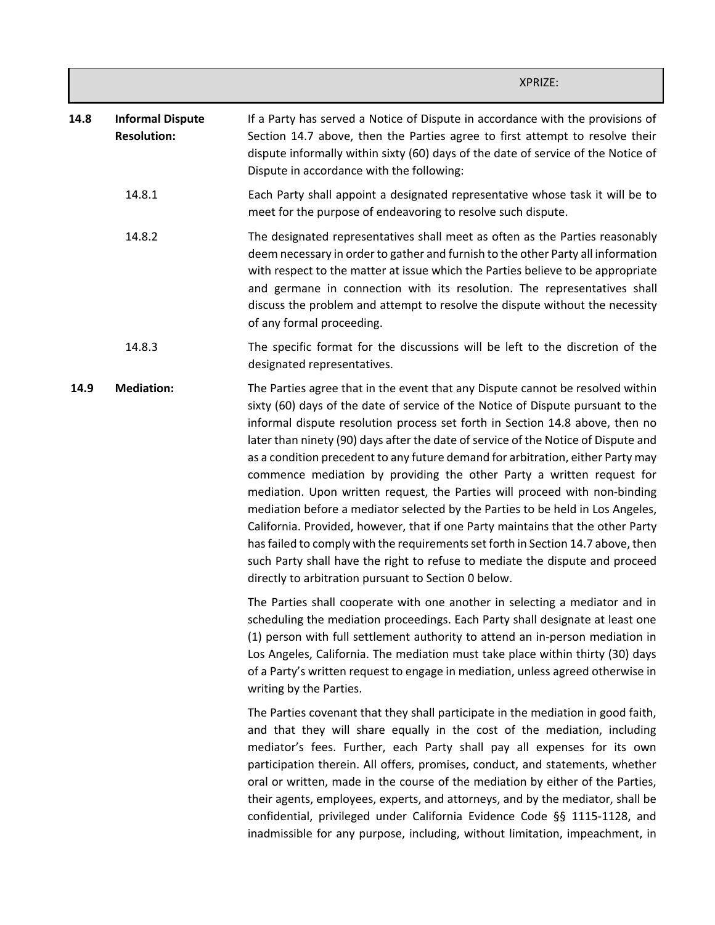|      |                                               | <b>XPRIZE:</b>                                                                                                                                                                                                                                                                                                                                                                                                                                                                                                                                                                                                                                                                                                                                                                                                                                                                                                                                                                     |
|------|-----------------------------------------------|------------------------------------------------------------------------------------------------------------------------------------------------------------------------------------------------------------------------------------------------------------------------------------------------------------------------------------------------------------------------------------------------------------------------------------------------------------------------------------------------------------------------------------------------------------------------------------------------------------------------------------------------------------------------------------------------------------------------------------------------------------------------------------------------------------------------------------------------------------------------------------------------------------------------------------------------------------------------------------|
| 14.8 | <b>Informal Dispute</b><br><b>Resolution:</b> | If a Party has served a Notice of Dispute in accordance with the provisions of<br>Section 14.7 above, then the Parties agree to first attempt to resolve their<br>dispute informally within sixty (60) days of the date of service of the Notice of<br>Dispute in accordance with the following:                                                                                                                                                                                                                                                                                                                                                                                                                                                                                                                                                                                                                                                                                   |
|      | 14.8.1                                        | Each Party shall appoint a designated representative whose task it will be to<br>meet for the purpose of endeavoring to resolve such dispute.                                                                                                                                                                                                                                                                                                                                                                                                                                                                                                                                                                                                                                                                                                                                                                                                                                      |
|      | 14.8.2                                        | The designated representatives shall meet as often as the Parties reasonably<br>deem necessary in order to gather and furnish to the other Party all information<br>with respect to the matter at issue which the Parties believe to be appropriate<br>and germane in connection with its resolution. The representatives shall<br>discuss the problem and attempt to resolve the dispute without the necessity<br>of any formal proceeding.                                                                                                                                                                                                                                                                                                                                                                                                                                                                                                                                       |
|      | 14.8.3                                        | The specific format for the discussions will be left to the discretion of the<br>designated representatives.                                                                                                                                                                                                                                                                                                                                                                                                                                                                                                                                                                                                                                                                                                                                                                                                                                                                       |
| 14.9 | <b>Mediation:</b>                             | The Parties agree that in the event that any Dispute cannot be resolved within<br>sixty (60) days of the date of service of the Notice of Dispute pursuant to the<br>informal dispute resolution process set forth in Section 14.8 above, then no<br>later than ninety (90) days after the date of service of the Notice of Dispute and<br>as a condition precedent to any future demand for arbitration, either Party may<br>commence mediation by providing the other Party a written request for<br>mediation. Upon written request, the Parties will proceed with non-binding<br>mediation before a mediator selected by the Parties to be held in Los Angeles,<br>California. Provided, however, that if one Party maintains that the other Party<br>has failed to comply with the requirements set forth in Section 14.7 above, then<br>such Party shall have the right to refuse to mediate the dispute and proceed<br>directly to arbitration pursuant to Section 0 below. |
|      |                                               | The Parties shall cooperate with one another in selecting a mediator and in<br>scheduling the mediation proceedings. Each Party shall designate at least one<br>(1) person with full settlement authority to attend an in-person mediation in<br>Los Angeles, California. The mediation must take place within thirty (30) days<br>of a Party's written request to engage in mediation, unless agreed otherwise in<br>writing by the Parties.                                                                                                                                                                                                                                                                                                                                                                                                                                                                                                                                      |
|      |                                               | The Parties covenant that they shall participate in the mediation in good faith,<br>and that they will share equally in the cost of the mediation, including<br>mediator's fees. Further, each Party shall pay all expenses for its own<br>participation therein. All offers, promises, conduct, and statements, whether                                                                                                                                                                                                                                                                                                                                                                                                                                                                                                                                                                                                                                                           |

oral or written, made in the course of the mediation by either of the Parties, their agents, employees, experts, and attorneys, and by the mediator, shall be confidential, privileged under California Evidence Code §§ 1115-1128, and inadmissible for any purpose, including, without limitation, impeachment, in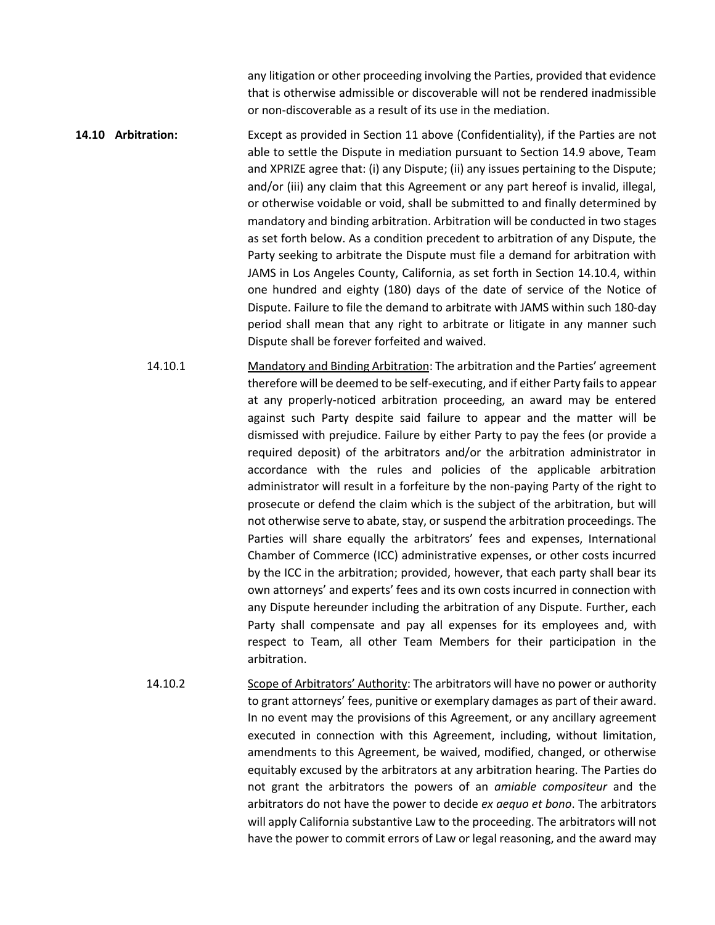any litigation or other proceeding involving the Parties, provided that evidence that is otherwise admissible or discoverable will not be rendered inadmissible or non-discoverable as a result of its use in the mediation.

- **14.10 Arbitration:** Except as provided in Section 11 above (Confidentiality), if the Parties are not able to settle the Dispute in mediation pursuant to Section 14.9 above, Team and XPRIZE agree that: (i) any Dispute; (ii) any issues pertaining to the Dispute; and/or (iii) any claim that this Agreement or any part hereof is invalid, illegal, or otherwise voidable or void, shall be submitted to and finally determined by mandatory and binding arbitration. Arbitration will be conducted in two stages as set forth below. As a condition precedent to arbitration of any Dispute, the Party seeking to arbitrate the Dispute must file a demand for arbitration with JAMS in Los Angeles County, California, as set forth in Section 14.10.4, within one hundred and eighty (180) days of the date of service of the Notice of Dispute. Failure to file the demand to arbitrate with JAMS within such 180-day period shall mean that any right to arbitrate or litigate in any manner such Dispute shall be forever forfeited and waived.
	- 14.10.1 Mandatory and Binding Arbitration: The arbitration and the Parties' agreement therefore will be deemed to be self-executing, and if either Party fails to appear at any properly-noticed arbitration proceeding, an award may be entered against such Party despite said failure to appear and the matter will be dismissed with prejudice. Failure by either Party to pay the fees (or provide a required deposit) of the arbitrators and/or the arbitration administrator in accordance with the rules and policies of the applicable arbitration administrator will result in a forfeiture by the non-paying Party of the right to prosecute or defend the claim which is the subject of the arbitration, but will not otherwise serve to abate, stay, or suspend the arbitration proceedings. The Parties will share equally the arbitrators' fees and expenses, International Chamber of Commerce (ICC) administrative expenses, or other costs incurred by the ICC in the arbitration; provided, however, that each party shall bear its own attorneys' and experts' fees and its own costs incurred in connection with any Dispute hereunder including the arbitration of any Dispute. Further, each Party shall compensate and pay all expenses for its employees and, with respect to Team, all other Team Members for their participation in the arbitration.
	- 14.10.2 Scope of Arbitrators' Authority: The arbitrators will have no power or authority to grant attorneys' fees, punitive or exemplary damages as part of their award. In no event may the provisions of this Agreement, or any ancillary agreement executed in connection with this Agreement, including, without limitation, amendments to this Agreement, be waived, modified, changed, or otherwise equitably excused by the arbitrators at any arbitration hearing. The Parties do not grant the arbitrators the powers of an *amiable compositeur* and the arbitrators do not have the power to decide *ex aequo et bono*. The arbitrators will apply California substantive Law to the proceeding. The arbitrators will not have the power to commit errors of Law or legal reasoning, and the award may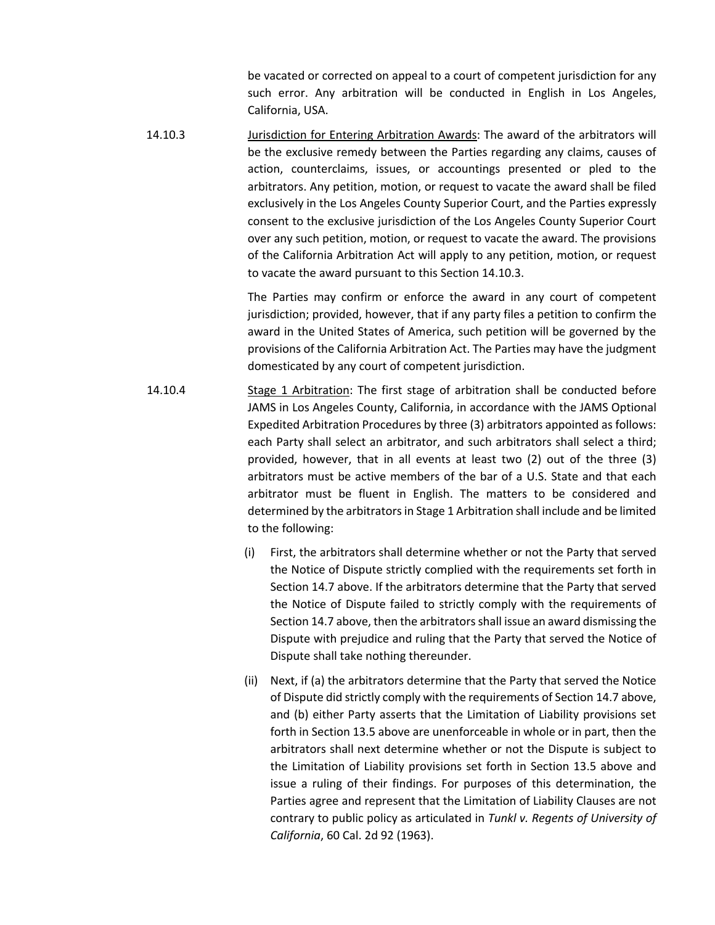be vacated or corrected on appeal to a court of competent jurisdiction for any such error. Any arbitration will be conducted in English in Los Angeles, California, USA.

14.10.3 Jurisdiction for Entering Arbitration Awards: The award of the arbitrators will be the exclusive remedy between the Parties regarding any claims, causes of action, counterclaims, issues, or accountings presented or pled to the arbitrators. Any petition, motion, or request to vacate the award shall be filed exclusively in the Los Angeles County Superior Court, and the Parties expressly consent to the exclusive jurisdiction of the Los Angeles County Superior Court over any such petition, motion, or request to vacate the award. The provisions of the California Arbitration Act will apply to any petition, motion, or request to vacate the award pursuant to this Section 14.10.3.

> The Parties may confirm or enforce the award in any court of competent jurisdiction; provided, however, that if any party files a petition to confirm the award in the United States of America, such petition will be governed by the provisions of the California Arbitration Act. The Parties may have the judgment domesticated by any court of competent jurisdiction.

- 14.10.4 Stage 1 Arbitration: The first stage of arbitration shall be conducted before JAMS in Los Angeles County, California, in accordance with the JAMS Optional Expedited Arbitration Procedures by three (3) arbitrators appointed as follows: each Party shall select an arbitrator, and such arbitrators shall select a third; provided, however, that in all events at least two (2) out of the three (3) arbitrators must be active members of the bar of a U.S. State and that each arbitrator must be fluent in English. The matters to be considered and determined by the arbitrators in Stage 1 Arbitration shall include and be limited to the following:
	- (i) First, the arbitrators shall determine whether or not the Party that served the Notice of Dispute strictly complied with the requirements set forth in Section 14.7 above. If the arbitrators determine that the Party that served the Notice of Dispute failed to strictly comply with the requirements of Section 14.7 above, then the arbitrators shall issue an award dismissing the Dispute with prejudice and ruling that the Party that served the Notice of Dispute shall take nothing thereunder.
	- (ii) Next, if (a) the arbitrators determine that the Party that served the Notice of Dispute did strictly comply with the requirements of Section 14.7 above, and (b) either Party asserts that the Limitation of Liability provisions set forth in Section 13.5 above are unenforceable in whole or in part, then the arbitrators shall next determine whether or not the Dispute is subject to the Limitation of Liability provisions set forth in Section 13.5 above and issue a ruling of their findings. For purposes of this determination, the Parties agree and represent that the Limitation of Liability Clauses are not contrary to public policy as articulated in *Tunkl v. Regents of University of California*, 60 Cal. 2d 92 (1963).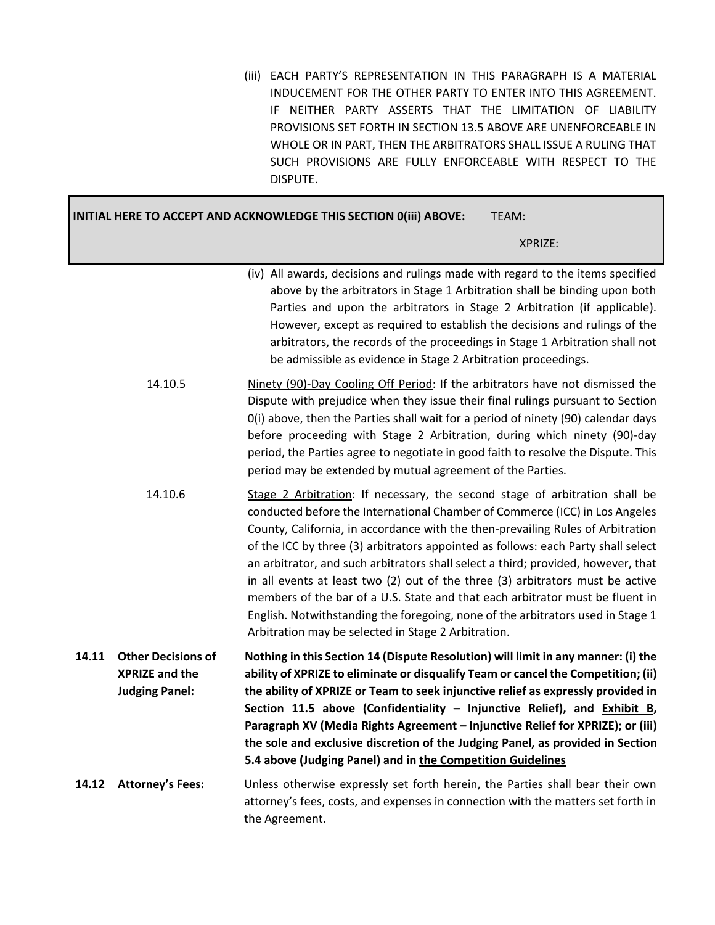(iii) EACH PARTY'S REPRESENTATION IN THIS PARAGRAPH IS A MATERIAL INDUCEMENT FOR THE OTHER PARTY TO ENTER INTO THIS AGREEMENT. IF NEITHER PARTY ASSERTS THAT THE LIMITATION OF LIABILITY PROVISIONS SET FORTH IN SECTION 13.5 ABOVE ARE UNENFORCEABLE IN WHOLE OR IN PART, THEN THE ARBITRATORS SHALL ISSUE A RULING THAT SUCH PROVISIONS ARE FULLY ENFORCEABLE WITH RESPECT TO THE DISPUTE.

**INITIAL HERE TO ACCEPT AND ACKNOWLEDGE THIS SECTION 0(iii) ABOVE:** TEAM:

 $XPRIZE:$   $XPRIZE:$ 

|       |                                                                             | (iv) All awards, decisions and rulings made with regard to the items specified<br>above by the arbitrators in Stage 1 Arbitration shall be binding upon both<br>Parties and upon the arbitrators in Stage 2 Arbitration (if applicable).<br>However, except as required to establish the decisions and rulings of the<br>arbitrators, the records of the proceedings in Stage 1 Arbitration shall not<br>be admissible as evidence in Stage 2 Arbitration proceedings.                                                                                                                                                                                                                                                               |
|-------|-----------------------------------------------------------------------------|--------------------------------------------------------------------------------------------------------------------------------------------------------------------------------------------------------------------------------------------------------------------------------------------------------------------------------------------------------------------------------------------------------------------------------------------------------------------------------------------------------------------------------------------------------------------------------------------------------------------------------------------------------------------------------------------------------------------------------------|
|       | 14.10.5                                                                     | Ninety (90)-Day Cooling Off Period: If the arbitrators have not dismissed the<br>Dispute with prejudice when they issue their final rulings pursuant to Section<br>0(i) above, then the Parties shall wait for a period of ninety (90) calendar days<br>before proceeding with Stage 2 Arbitration, during which ninety (90)-day<br>period, the Parties agree to negotiate in good faith to resolve the Dispute. This<br>period may be extended by mutual agreement of the Parties.                                                                                                                                                                                                                                                  |
|       | 14.10.6                                                                     | Stage 2 Arbitration: If necessary, the second stage of arbitration shall be<br>conducted before the International Chamber of Commerce (ICC) in Los Angeles<br>County, California, in accordance with the then-prevailing Rules of Arbitration<br>of the ICC by three (3) arbitrators appointed as follows: each Party shall select<br>an arbitrator, and such arbitrators shall select a third; provided, however, that<br>in all events at least two (2) out of the three (3) arbitrators must be active<br>members of the bar of a U.S. State and that each arbitrator must be fluent in<br>English. Notwithstanding the foregoing, none of the arbitrators used in Stage 1<br>Arbitration may be selected in Stage 2 Arbitration. |
| 14.11 | <b>Other Decisions of</b><br><b>XPRIZE and the</b><br><b>Judging Panel:</b> | Nothing in this Section 14 (Dispute Resolution) will limit in any manner: (i) the<br>ability of XPRIZE to eliminate or disqualify Team or cancel the Competition; (ii)<br>the ability of XPRIZE or Team to seek injunctive relief as expressly provided in<br>Section 11.5 above (Confidentiality - Injunctive Relief), and Exhibit B,<br>Paragraph XV (Media Rights Agreement - Injunctive Relief for XPRIZE); or (iii)<br>the sole and exclusive discretion of the Judging Panel, as provided in Section<br>5.4 above (Judging Panel) and in the Competition Guidelines                                                                                                                                                            |
| 14.12 | <b>Attorney's Fees:</b>                                                     | Unless otherwise expressly set forth herein, the Parties shall bear their own<br>attorney's fees, costs, and expenses in connection with the matters set forth in<br>the Agreement.                                                                                                                                                                                                                                                                                                                                                                                                                                                                                                                                                  |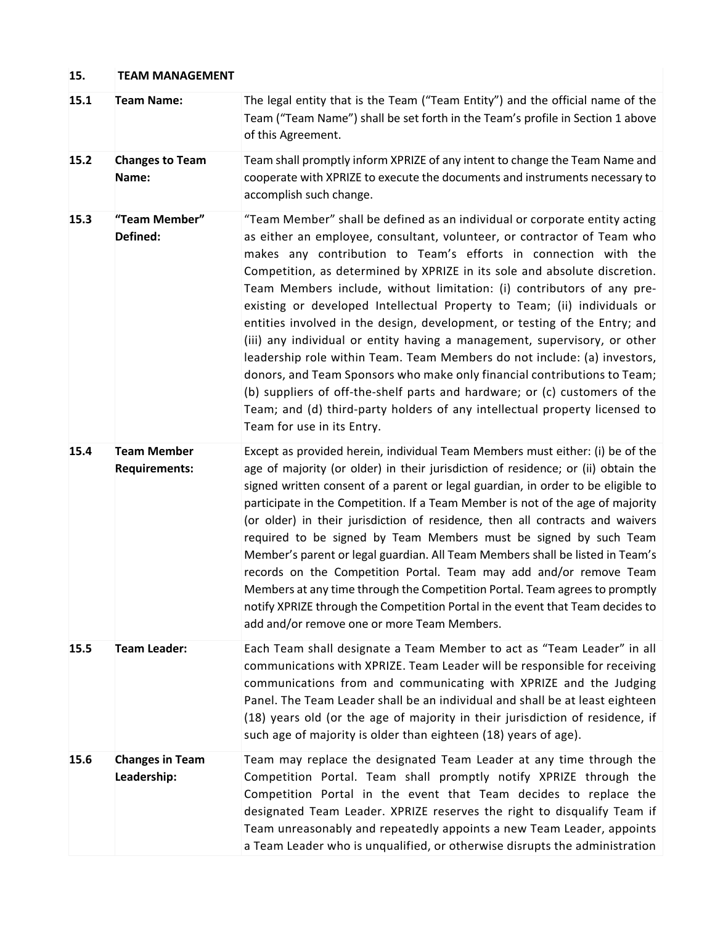# **15. TEAM MANAGEMENT**

| 15.1 | <b>Team Name:</b>                          | The legal entity that is the Team ("Team Entity") and the official name of the<br>Team ("Team Name") shall be set forth in the Team's profile in Section 1 above<br>of this Agreement.                                                                                                                                                                                                                                                                                                                                                                                                                                                                                                                                                                                                                                                                                                                                                                                   |
|------|--------------------------------------------|--------------------------------------------------------------------------------------------------------------------------------------------------------------------------------------------------------------------------------------------------------------------------------------------------------------------------------------------------------------------------------------------------------------------------------------------------------------------------------------------------------------------------------------------------------------------------------------------------------------------------------------------------------------------------------------------------------------------------------------------------------------------------------------------------------------------------------------------------------------------------------------------------------------------------------------------------------------------------|
| 15.2 | <b>Changes to Team</b><br>Name:            | Team shall promptly inform XPRIZE of any intent to change the Team Name and<br>cooperate with XPRIZE to execute the documents and instruments necessary to<br>accomplish such change.                                                                                                                                                                                                                                                                                                                                                                                                                                                                                                                                                                                                                                                                                                                                                                                    |
| 15.3 | "Team Member"<br>Defined:                  | "Team Member" shall be defined as an individual or corporate entity acting<br>as either an employee, consultant, volunteer, or contractor of Team who<br>makes any contribution to Team's efforts in connection with the<br>Competition, as determined by XPRIZE in its sole and absolute discretion.<br>Team Members include, without limitation: (i) contributors of any pre-<br>existing or developed Intellectual Property to Team; (ii) individuals or<br>entities involved in the design, development, or testing of the Entry; and<br>(iii) any individual or entity having a management, supervisory, or other<br>leadership role within Team. Team Members do not include: (a) investors,<br>donors, and Team Sponsors who make only financial contributions to Team;<br>(b) suppliers of off-the-shelf parts and hardware; or (c) customers of the<br>Team; and (d) third-party holders of any intellectual property licensed to<br>Team for use in its Entry. |
| 15.4 | <b>Team Member</b><br><b>Requirements:</b> | Except as provided herein, individual Team Members must either: (i) be of the<br>age of majority (or older) in their jurisdiction of residence; or (ii) obtain the<br>signed written consent of a parent or legal guardian, in order to be eligible to<br>participate in the Competition. If a Team Member is not of the age of majority<br>(or older) in their jurisdiction of residence, then all contracts and waivers<br>required to be signed by Team Members must be signed by such Team<br>Member's parent or legal guardian. All Team Members shall be listed in Team's<br>records on the Competition Portal. Team may add and/or remove Team<br>Members at any time through the Competition Portal. Team agrees to promptly<br>notify XPRIZE through the Competition Portal in the event that Team decides to<br>add and/or remove one or more Team Members.                                                                                                    |
| 15.5 | <b>Team Leader:</b>                        | Each Team shall designate a Team Member to act as "Team Leader" in all<br>communications with XPRIZE. Team Leader will be responsible for receiving<br>communications from and communicating with XPRIZE and the Judging<br>Panel. The Team Leader shall be an individual and shall be at least eighteen<br>(18) years old (or the age of majority in their jurisdiction of residence, if<br>such age of majority is older than eighteen (18) years of age).                                                                                                                                                                                                                                                                                                                                                                                                                                                                                                             |
| 15.6 | <b>Changes in Team</b><br>Leadership:      | Team may replace the designated Team Leader at any time through the<br>Competition Portal. Team shall promptly notify XPRIZE through the<br>Competition Portal in the event that Team decides to replace the<br>designated Team Leader. XPRIZE reserves the right to disqualify Team if<br>Team unreasonably and repeatedly appoints a new Team Leader, appoints<br>a Team Leader who is unqualified, or otherwise disrupts the administration                                                                                                                                                                                                                                                                                                                                                                                                                                                                                                                           |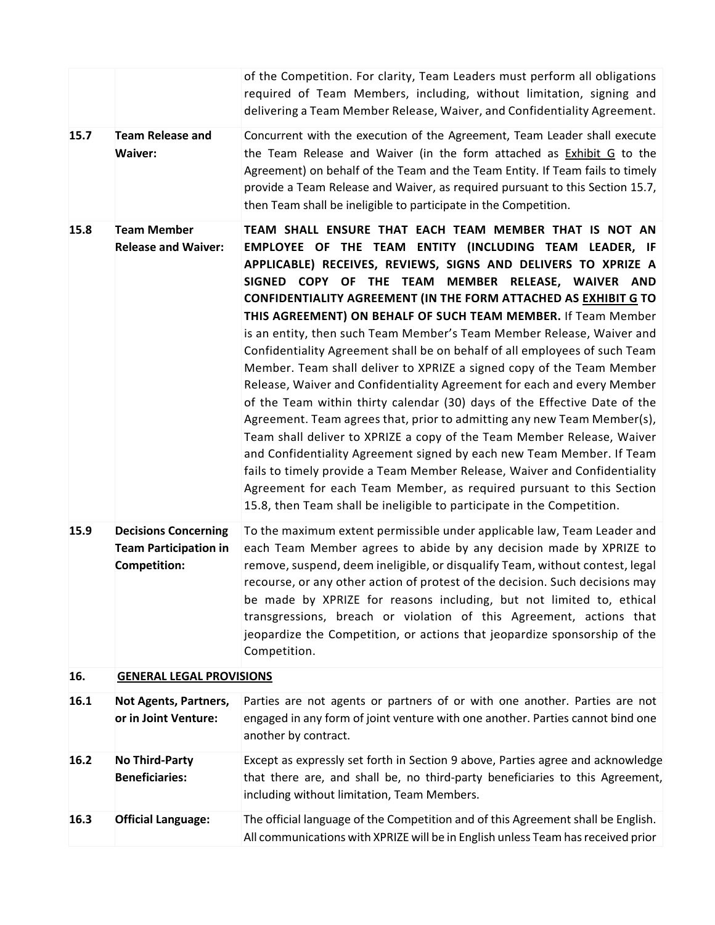|      |                                                                                    | of the Competition. For clarity, Team Leaders must perform all obligations<br>required of Team Members, including, without limitation, signing and<br>delivering a Team Member Release, Waiver, and Confidentiality Agreement.                                                                                                                                                                                                                                                                                                                                                                                                                                                                                                                                                                                                                                                                                                                                                                                                                                                                                                                                                                                                      |
|------|------------------------------------------------------------------------------------|-------------------------------------------------------------------------------------------------------------------------------------------------------------------------------------------------------------------------------------------------------------------------------------------------------------------------------------------------------------------------------------------------------------------------------------------------------------------------------------------------------------------------------------------------------------------------------------------------------------------------------------------------------------------------------------------------------------------------------------------------------------------------------------------------------------------------------------------------------------------------------------------------------------------------------------------------------------------------------------------------------------------------------------------------------------------------------------------------------------------------------------------------------------------------------------------------------------------------------------|
| 15.7 | <b>Team Release and</b><br><b>Waiver:</b>                                          | Concurrent with the execution of the Agreement, Team Leader shall execute<br>the Team Release and Waiver (in the form attached as Exhibit G to the<br>Agreement) on behalf of the Team and the Team Entity. If Team fails to timely<br>provide a Team Release and Waiver, as required pursuant to this Section 15.7,<br>then Team shall be ineligible to participate in the Competition.                                                                                                                                                                                                                                                                                                                                                                                                                                                                                                                                                                                                                                                                                                                                                                                                                                            |
| 15.8 | <b>Team Member</b><br><b>Release and Waiver:</b>                                   | TEAM SHALL ENSURE THAT EACH TEAM MEMBER THAT IS NOT AN<br>EMPLOYEE OF THE TEAM ENTITY (INCLUDING TEAM LEADER, IF<br>APPLICABLE) RECEIVES, REVIEWS, SIGNS AND DELIVERS TO XPRIZE A<br>SIGNED COPY OF THE TEAM<br>MEMBER RELEASE, WAIVER AND<br>CONFIDENTIALITY AGREEMENT (IN THE FORM ATTACHED AS EXHIBIT G TO<br>THIS AGREEMENT) ON BEHALF OF SUCH TEAM MEMBER. If Team Member<br>is an entity, then such Team Member's Team Member Release, Waiver and<br>Confidentiality Agreement shall be on behalf of all employees of such Team<br>Member. Team shall deliver to XPRIZE a signed copy of the Team Member<br>Release, Waiver and Confidentiality Agreement for each and every Member<br>of the Team within thirty calendar (30) days of the Effective Date of the<br>Agreement. Team agrees that, prior to admitting any new Team Member(s),<br>Team shall deliver to XPRIZE a copy of the Team Member Release, Waiver<br>and Confidentiality Agreement signed by each new Team Member. If Team<br>fails to timely provide a Team Member Release, Waiver and Confidentiality<br>Agreement for each Team Member, as required pursuant to this Section<br>15.8, then Team shall be ineligible to participate in the Competition. |
| 15.9 | <b>Decisions Concerning</b><br><b>Team Participation in</b><br><b>Competition:</b> | To the maximum extent permissible under applicable law, Team Leader and<br>each Team Member agrees to abide by any decision made by XPRIZE to<br>remove, suspend, deem ineligible, or disqualify Team, without contest, legal<br>recourse, or any other action of protest of the decision. Such decisions may<br>be made by XPRIZE for reasons including, but not limited to, ethical<br>transgressions, breach or violation of this Agreement, actions that<br>jeopardize the Competition, or actions that jeopardize sponsorship of the<br>Competition.                                                                                                                                                                                                                                                                                                                                                                                                                                                                                                                                                                                                                                                                           |
| 16.  | <b>GENERAL LEGAL PROVISIONS</b>                                                    |                                                                                                                                                                                                                                                                                                                                                                                                                                                                                                                                                                                                                                                                                                                                                                                                                                                                                                                                                                                                                                                                                                                                                                                                                                     |
| 16.1 | Not Agents, Partners,<br>or in Joint Venture:                                      | Parties are not agents or partners of or with one another. Parties are not<br>engaged in any form of joint venture with one another. Parties cannot bind one<br>another by contract.                                                                                                                                                                                                                                                                                                                                                                                                                                                                                                                                                                                                                                                                                                                                                                                                                                                                                                                                                                                                                                                |
| 16.2 | <b>No Third-Party</b><br><b>Beneficiaries:</b>                                     | Except as expressly set forth in Section 9 above, Parties agree and acknowledge<br>that there are, and shall be, no third-party beneficiaries to this Agreement,<br>including without limitation, Team Members.                                                                                                                                                                                                                                                                                                                                                                                                                                                                                                                                                                                                                                                                                                                                                                                                                                                                                                                                                                                                                     |
| 16.3 | <b>Official Language:</b>                                                          | The official language of the Competition and of this Agreement shall be English.<br>All communications with XPRIZE will be in English unless Team has received prior                                                                                                                                                                                                                                                                                                                                                                                                                                                                                                                                                                                                                                                                                                                                                                                                                                                                                                                                                                                                                                                                |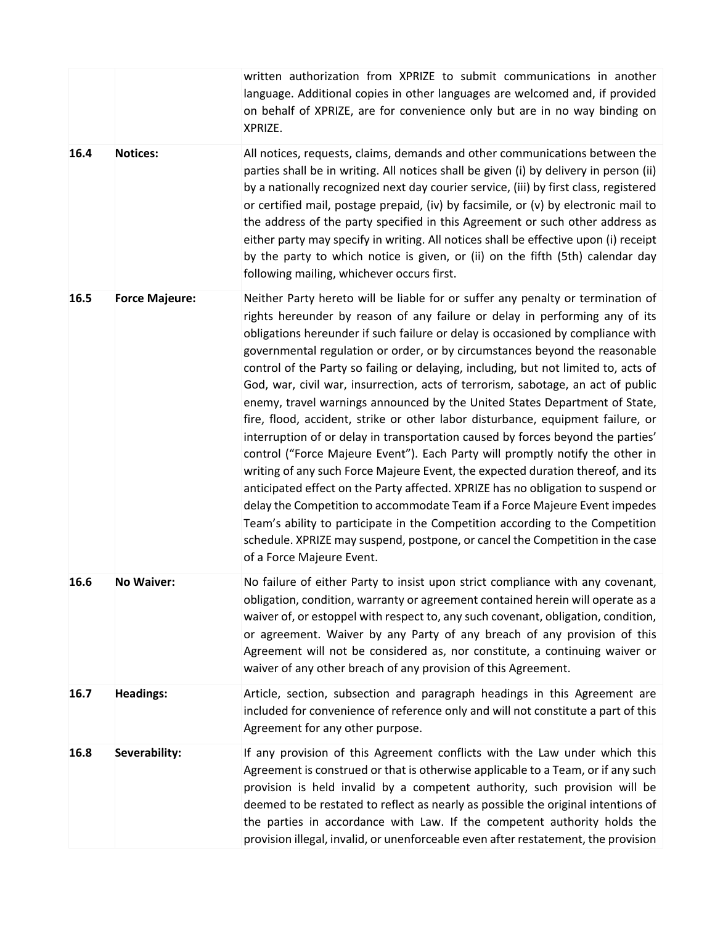|      |                       | written authorization from XPRIZE to submit communications in another<br>language. Additional copies in other languages are welcomed and, if provided<br>on behalf of XPRIZE, are for convenience only but are in no way binding on<br>XPRIZE.                                                                                                                                                                                                                                                                                                                                                                                                                                                                                                                                                                                                                                                                                                                                                                                                                                                                                                                                                                                                                                                       |
|------|-----------------------|------------------------------------------------------------------------------------------------------------------------------------------------------------------------------------------------------------------------------------------------------------------------------------------------------------------------------------------------------------------------------------------------------------------------------------------------------------------------------------------------------------------------------------------------------------------------------------------------------------------------------------------------------------------------------------------------------------------------------------------------------------------------------------------------------------------------------------------------------------------------------------------------------------------------------------------------------------------------------------------------------------------------------------------------------------------------------------------------------------------------------------------------------------------------------------------------------------------------------------------------------------------------------------------------------|
| 16.4 | <b>Notices:</b>       | All notices, requests, claims, demands and other communications between the<br>parties shall be in writing. All notices shall be given (i) by delivery in person (ii)<br>by a nationally recognized next day courier service, (iii) by first class, registered<br>or certified mail, postage prepaid, (iv) by facsimile, or (v) by electronic mail to<br>the address of the party specified in this Agreement or such other address as<br>either party may specify in writing. All notices shall be effective upon (i) receipt<br>by the party to which notice is given, or (ii) on the fifth (5th) calendar day<br>following mailing, whichever occurs first.                                                                                                                                                                                                                                                                                                                                                                                                                                                                                                                                                                                                                                       |
| 16.5 | <b>Force Majeure:</b> | Neither Party hereto will be liable for or suffer any penalty or termination of<br>rights hereunder by reason of any failure or delay in performing any of its<br>obligations hereunder if such failure or delay is occasioned by compliance with<br>governmental regulation or order, or by circumstances beyond the reasonable<br>control of the Party so failing or delaying, including, but not limited to, acts of<br>God, war, civil war, insurrection, acts of terrorism, sabotage, an act of public<br>enemy, travel warnings announced by the United States Department of State,<br>fire, flood, accident, strike or other labor disturbance, equipment failure, or<br>interruption of or delay in transportation caused by forces beyond the parties'<br>control ("Force Majeure Event"). Each Party will promptly notify the other in<br>writing of any such Force Majeure Event, the expected duration thereof, and its<br>anticipated effect on the Party affected. XPRIZE has no obligation to suspend or<br>delay the Competition to accommodate Team if a Force Majeure Event impedes<br>Team's ability to participate in the Competition according to the Competition<br>schedule. XPRIZE may suspend, postpone, or cancel the Competition in the case<br>of a Force Majeure Event. |
| 16.6 | <b>No Waiver:</b>     | No failure of either Party to insist upon strict compliance with any covenant,<br>obligation, condition, warranty or agreement contained herein will operate as a<br>waiver of, or estoppel with respect to, any such covenant, obligation, condition,<br>or agreement. Waiver by any Party of any breach of any provision of this<br>Agreement will not be considered as, nor constitute, a continuing waiver or<br>waiver of any other breach of any provision of this Agreement.                                                                                                                                                                                                                                                                                                                                                                                                                                                                                                                                                                                                                                                                                                                                                                                                                  |
| 16.7 | <b>Headings:</b>      | Article, section, subsection and paragraph headings in this Agreement are<br>included for convenience of reference only and will not constitute a part of this<br>Agreement for any other purpose.                                                                                                                                                                                                                                                                                                                                                                                                                                                                                                                                                                                                                                                                                                                                                                                                                                                                                                                                                                                                                                                                                                   |
| 16.8 | Severability:         | If any provision of this Agreement conflicts with the Law under which this<br>Agreement is construed or that is otherwise applicable to a Team, or if any such<br>provision is held invalid by a competent authority, such provision will be<br>deemed to be restated to reflect as nearly as possible the original intentions of<br>the parties in accordance with Law. If the competent authority holds the<br>provision illegal, invalid, or unenforceable even after restatement, the provision                                                                                                                                                                                                                                                                                                                                                                                                                                                                                                                                                                                                                                                                                                                                                                                                  |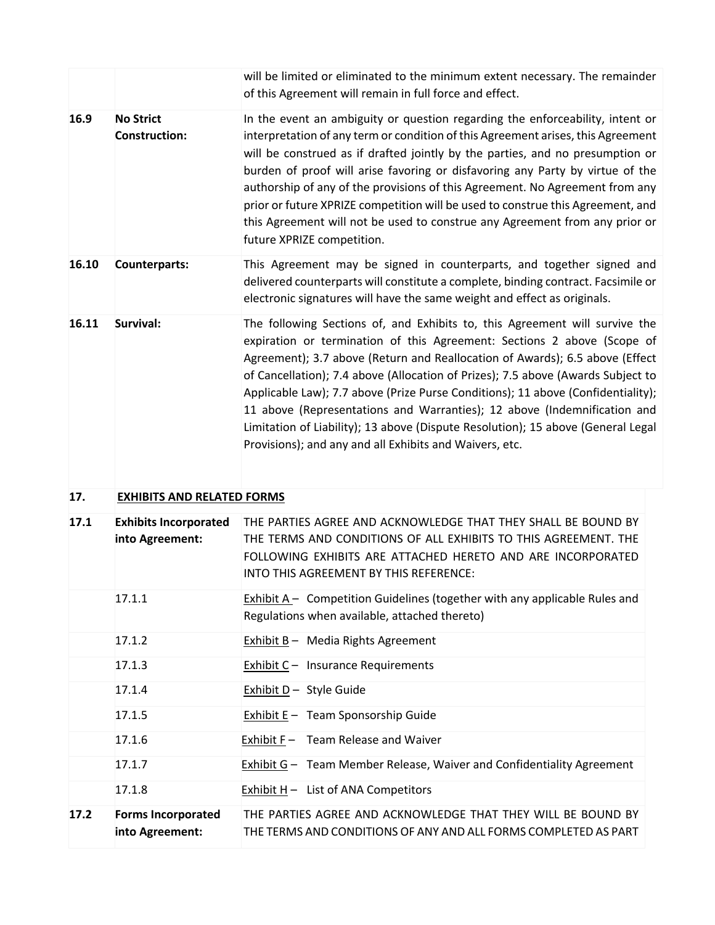|       |                                                 | will be limited or eliminated to the minimum extent necessary. The remainder<br>of this Agreement will remain in full force and effect.                                                                                                                                                                                                                                                                                                                                                                                                                                                                                                   |
|-------|-------------------------------------------------|-------------------------------------------------------------------------------------------------------------------------------------------------------------------------------------------------------------------------------------------------------------------------------------------------------------------------------------------------------------------------------------------------------------------------------------------------------------------------------------------------------------------------------------------------------------------------------------------------------------------------------------------|
| 16.9  | <b>No Strict</b><br><b>Construction:</b>        | In the event an ambiguity or question regarding the enforceability, intent or<br>interpretation of any term or condition of this Agreement arises, this Agreement<br>will be construed as if drafted jointly by the parties, and no presumption or<br>burden of proof will arise favoring or disfavoring any Party by virtue of the<br>authorship of any of the provisions of this Agreement. No Agreement from any<br>prior or future XPRIZE competition will be used to construe this Agreement, and<br>this Agreement will not be used to construe any Agreement from any prior or<br>future XPRIZE competition.                       |
| 16.10 | Counterparts:                                   | This Agreement may be signed in counterparts, and together signed and<br>delivered counterparts will constitute a complete, binding contract. Facsimile or<br>electronic signatures will have the same weight and effect as originals.                                                                                                                                                                                                                                                                                                                                                                                                    |
| 16.11 | Survival:                                       | The following Sections of, and Exhibits to, this Agreement will survive the<br>expiration or termination of this Agreement: Sections 2 above (Scope of<br>Agreement); 3.7 above (Return and Reallocation of Awards); 6.5 above (Effect<br>of Cancellation); 7.4 above (Allocation of Prizes); 7.5 above (Awards Subject to<br>Applicable Law); 7.7 above (Prize Purse Conditions); 11 above (Confidentiality);<br>11 above (Representations and Warranties); 12 above (Indemnification and<br>Limitation of Liability); 13 above (Dispute Resolution); 15 above (General Legal<br>Provisions); and any and all Exhibits and Waivers, etc. |
| 17.   | <b>EXHIBITS AND RELATED FORMS</b>               |                                                                                                                                                                                                                                                                                                                                                                                                                                                                                                                                                                                                                                           |
| 17.1  | <b>Exhibits Incorporated</b><br>into Agreement: | THE PARTIES AGREE AND ACKNOWLEDGE THAT THEY SHALL BE BOUND BY<br>THE TERMS AND CONDITIONS OF ALL EXHIBITS TO THIS AGREEMENT. THE<br>FOLLOWING EXHIBITS ARE ATTACHED HERETO AND ARE INCORPORATED<br>INTO THIS AGREEMENT BY THIS REFERENCE:                                                                                                                                                                                                                                                                                                                                                                                                 |
|       | 17.1.1                                          | <b>Exhibit A-</b> Competition Guidelines (together with any applicable Rules and<br>Regulations when available, attached thereto)                                                                                                                                                                                                                                                                                                                                                                                                                                                                                                         |
|       | 17.1.2                                          | Exhibit B - Media Rights Agreement                                                                                                                                                                                                                                                                                                                                                                                                                                                                                                                                                                                                        |
|       | 17.1.3                                          | Exhibit C - Insurance Requirements                                                                                                                                                                                                                                                                                                                                                                                                                                                                                                                                                                                                        |
|       | 17.1.4                                          | Exhibit D - Style Guide                                                                                                                                                                                                                                                                                                                                                                                                                                                                                                                                                                                                                   |
|       | 17.1.5                                          | <b>Exhibit E</b> - Team Sponsorship Guide                                                                                                                                                                                                                                                                                                                                                                                                                                                                                                                                                                                                 |
|       | 17.1.6                                          | Exhibit F- Team Release and Waiver                                                                                                                                                                                                                                                                                                                                                                                                                                                                                                                                                                                                        |
|       | 17.1.7                                          | <b>Exhibit G</b> - Team Member Release, Waiver and Confidentiality Agreement                                                                                                                                                                                                                                                                                                                                                                                                                                                                                                                                                              |
|       | 17.1.8                                          | Exhibit H - List of ANA Competitors                                                                                                                                                                                                                                                                                                                                                                                                                                                                                                                                                                                                       |
| 17.2  | <b>Forms Incorporated</b><br>into Agreement:    | THE PARTIES AGREE AND ACKNOWLEDGE THAT THEY WILL BE BOUND BY<br>THE TERMS AND CONDITIONS OF ANY AND ALL FORMS COMPLETED AS PART                                                                                                                                                                                                                                                                                                                                                                                                                                                                                                           |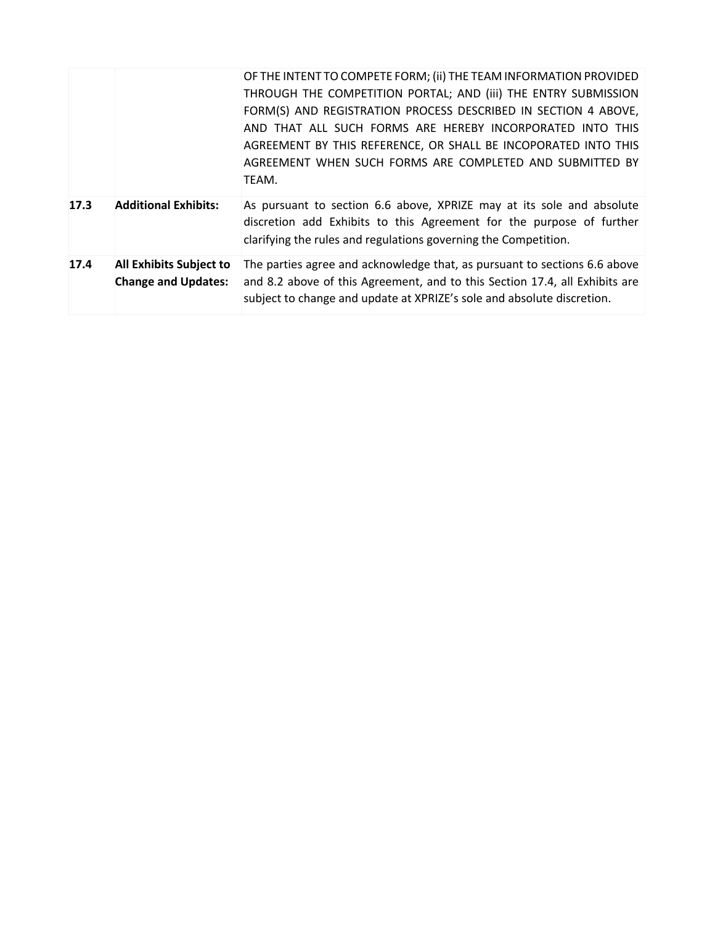|      |                                                              | OF THE INTENT TO COMPETE FORM; (ii) THE TEAM INFORMATION PROVIDED<br>THROUGH THE COMPETITION PORTAL; AND (iii) THE ENTRY SUBMISSION<br>FORM(S) AND REGISTRATION PROCESS DESCRIBED IN SECTION 4 ABOVE,<br>AND THAT ALL SUCH FORMS ARE HEREBY INCORPORATED INTO THIS<br>AGREEMENT BY THIS REFERENCE, OR SHALL BE INCOPORATED INTO THIS<br>AGREEMENT WHEN SUCH FORMS ARE COMPLETED AND SUBMITTED BY<br>TEAM. |
|------|--------------------------------------------------------------|-----------------------------------------------------------------------------------------------------------------------------------------------------------------------------------------------------------------------------------------------------------------------------------------------------------------------------------------------------------------------------------------------------------|
| 17.3 | <b>Additional Exhibits:</b>                                  | As pursuant to section 6.6 above, XPRIZE may at its sole and absolute<br>discretion add Exhibits to this Agreement for the purpose of further<br>clarifying the rules and regulations governing the Competition.                                                                                                                                                                                          |
| 17.4 | <b>All Exhibits Subject to</b><br><b>Change and Updates:</b> | The parties agree and acknowledge that, as pursuant to sections 6.6 above<br>and 8.2 above of this Agreement, and to this Section 17.4, all Exhibits are<br>subject to change and update at XPRIZE's sole and absolute discretion.                                                                                                                                                                        |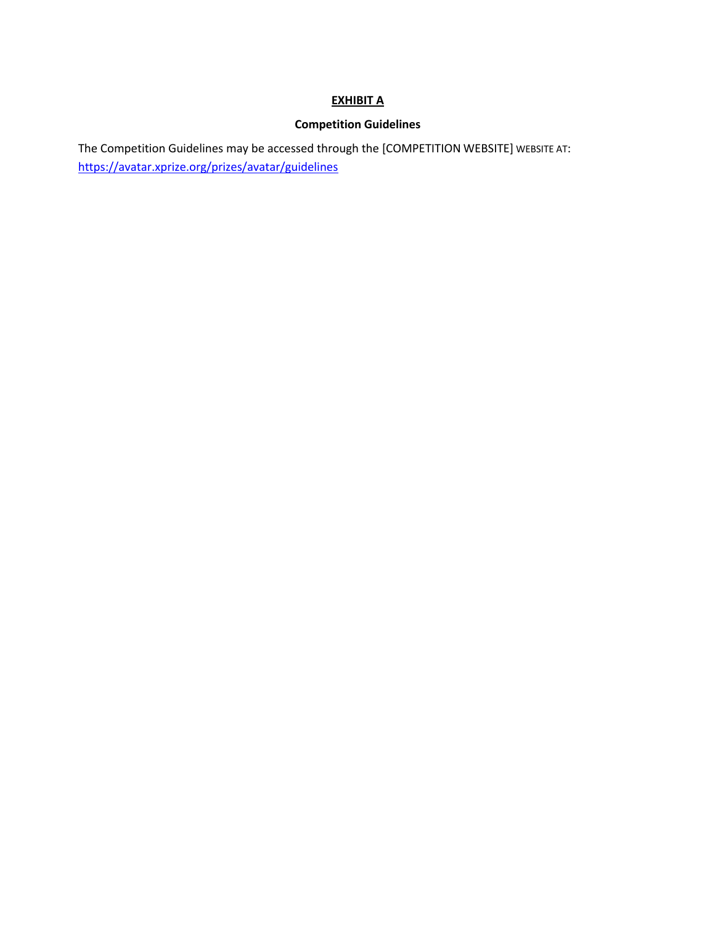# **EXHIBIT A**

# **Competition Guidelines**

The Competition Guidelines may be accessed through the [COMPETITION WEBSITE] WEBSITE AT: https://avatar.xprize.org/prizes/avatar/guidelines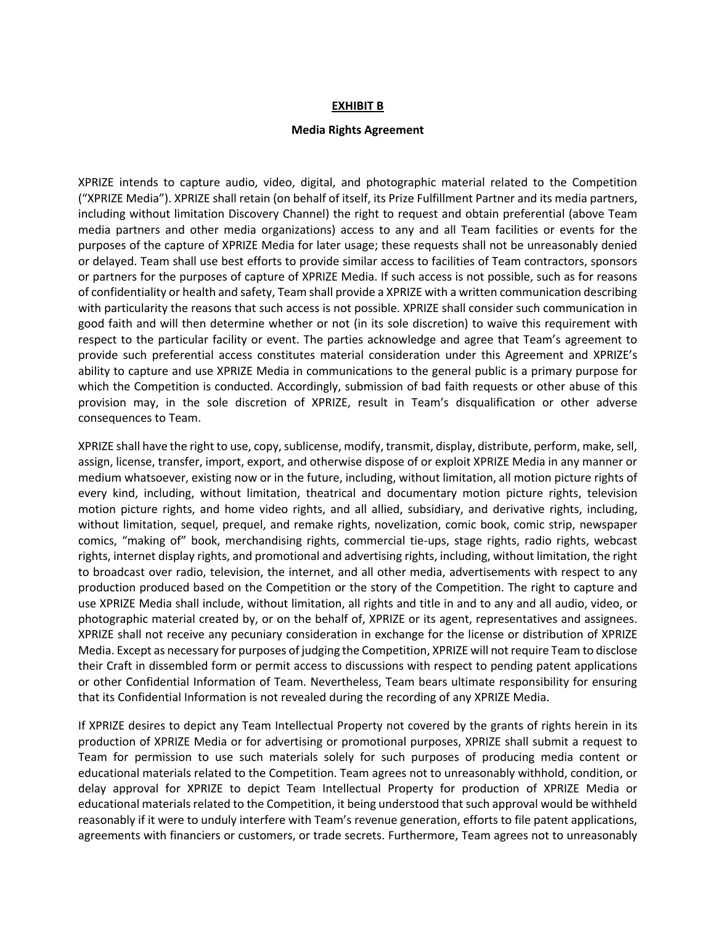#### **EXHIBIT B**

#### **Media Rights Agreement**

XPRIZE intends to capture audio, video, digital, and photographic material related to the Competition ("XPRIZE Media"). XPRIZE shall retain (on behalf of itself, its Prize Fulfillment Partner and its media partners, including without limitation Discovery Channel) the right to request and obtain preferential (above Team media partners and other media organizations) access to any and all Team facilities or events for the purposes of the capture of XPRIZE Media for later usage; these requests shall not be unreasonably denied or delayed. Team shall use best efforts to provide similar access to facilities of Team contractors, sponsors or partners for the purposes of capture of XPRIZE Media. If such access is not possible, such as for reasons of confidentiality or health and safety, Team shall provide a XPRIZE with a written communication describing with particularity the reasons that such access is not possible. XPRIZE shall consider such communication in good faith and will then determine whether or not (in its sole discretion) to waive this requirement with respect to the particular facility or event. The parties acknowledge and agree that Team's agreement to provide such preferential access constitutes material consideration under this Agreement and XPRIZE's ability to capture and use XPRIZE Media in communications to the general public is a primary purpose for which the Competition is conducted. Accordingly, submission of bad faith requests or other abuse of this provision may, in the sole discretion of XPRIZE, result in Team's disqualification or other adverse consequences to Team.

XPRIZE shall have the right to use, copy, sublicense, modify, transmit, display, distribute, perform, make, sell, assign, license, transfer, import, export, and otherwise dispose of or exploit XPRIZE Media in any manner or medium whatsoever, existing now or in the future, including, without limitation, all motion picture rights of every kind, including, without limitation, theatrical and documentary motion picture rights, television motion picture rights, and home video rights, and all allied, subsidiary, and derivative rights, including, without limitation, sequel, prequel, and remake rights, novelization, comic book, comic strip, newspaper comics, "making of" book, merchandising rights, commercial tie-ups, stage rights, radio rights, webcast rights, internet display rights, and promotional and advertising rights, including, without limitation, the right to broadcast over radio, television, the internet, and all other media, advertisements with respect to any production produced based on the Competition or the story of the Competition. The right to capture and use XPRIZE Media shall include, without limitation, all rights and title in and to any and all audio, video, or photographic material created by, or on the behalf of, XPRIZE or its agent, representatives and assignees. XPRIZE shall not receive any pecuniary consideration in exchange for the license or distribution of XPRIZE Media. Except as necessary for purposes of judging the Competition, XPRIZE will not require Team to disclose their Craft in dissembled form or permit access to discussions with respect to pending patent applications or other Confidential Information of Team. Nevertheless, Team bears ultimate responsibility for ensuring that its Confidential Information is not revealed during the recording of any XPRIZE Media.

If XPRIZE desires to depict any Team Intellectual Property not covered by the grants of rights herein in its production of XPRIZE Media or for advertising or promotional purposes, XPRIZE shall submit a request to Team for permission to use such materials solely for such purposes of producing media content or educational materials related to the Competition. Team agrees not to unreasonably withhold, condition, or delay approval for XPRIZE to depict Team Intellectual Property for production of XPRIZE Media or educational materials related to the Competition, it being understood that such approval would be withheld reasonably if it were to unduly interfere with Team's revenue generation, efforts to file patent applications, agreements with financiers or customers, or trade secrets. Furthermore, Team agrees not to unreasonably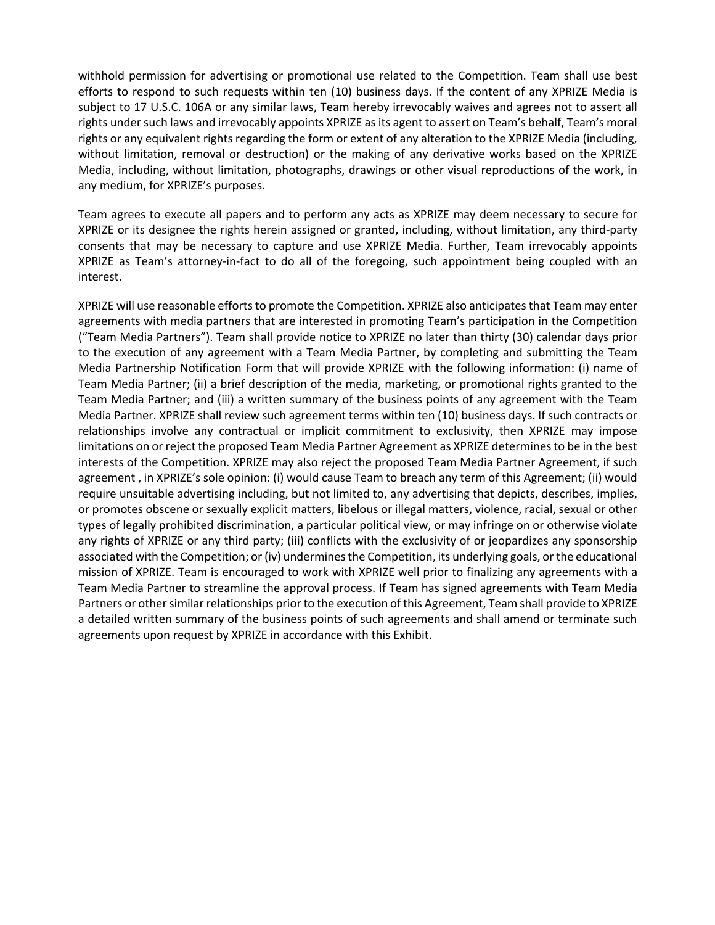withhold permission for advertising or promotional use related to the Competition. Team shall use best efforts to respond to such requests within ten (10) business days. If the content of any XPRIZE Media is subject to 17 U.S.C. 106A or any similar laws, Team hereby irrevocably waives and agrees not to assert all rights under such laws and irrevocably appoints XPRIZE as its agent to assert on Team's behalf, Team's moral rights or any equivalent rights regarding the form or extent of any alteration to the XPRIZE Media (including, without limitation, removal or destruction) or the making of any derivative works based on the XPRIZE Media, including, without limitation, photographs, drawings or other visual reproductions of the work, in any medium, for XPRIZE's purposes.

Team agrees to execute all papers and to perform any acts as XPRIZE may deem necessary to secure for XPRIZE or its designee the rights herein assigned or granted, including, without limitation, any third-party consents that may be necessary to capture and use XPRIZE Media. Further, Team irrevocably appoints XPRIZE as Team's attorney-in-fact to do all of the foregoing, such appointment being coupled with an interest.

XPRIZE will use reasonable efforts to promote the Competition. XPRIZE also anticipates that Team may enter agreements with media partners that are interested in promoting Team's participation in the Competition ("Team Media Partners"). Team shall provide notice to XPRIZE no later than thirty (30) calendar days prior to the execution of any agreement with a Team Media Partner, by completing and submitting the Team Media Partnership Notification Form that will provide XPRIZE with the following information: (i) name of Team Media Partner; (ii) a brief description of the media, marketing, or promotional rights granted to the Team Media Partner; and (iii) a written summary of the business points of any agreement with the Team Media Partner. XPRIZE shall review such agreement terms within ten (10) business days. If such contracts or relationships involve any contractual or implicit commitment to exclusivity, then XPRIZE may impose limitations on or reject the proposed Team Media Partner Agreement as XPRIZE determines to be in the best interests of the Competition. XPRIZE may also reject the proposed Team Media Partner Agreement, if such agreement , in XPRIZE's sole opinion: (i) would cause Team to breach any term of this Agreement; (ii) would require unsuitable advertising including, but not limited to, any advertising that depicts, describes, implies, or promotes obscene or sexually explicit matters, libelous or illegal matters, violence, racial, sexual or other types of legally prohibited discrimination, a particular political view, or may infringe on or otherwise violate any rights of XPRIZE or any third party; (iii) conflicts with the exclusivity of or jeopardizes any sponsorship associated with the Competition; or (iv) undermines the Competition, its underlying goals, or the educational mission of XPRIZE. Team is encouraged to work with XPRIZE well prior to finalizing any agreements with a Team Media Partner to streamline the approval process. If Team has signed agreements with Team Media Partners or other similar relationships prior to the execution of this Agreement, Team shall provide to XPRIZE a detailed written summary of the business points of such agreements and shall amend or terminate such agreements upon request by XPRIZE in accordance with this Exhibit.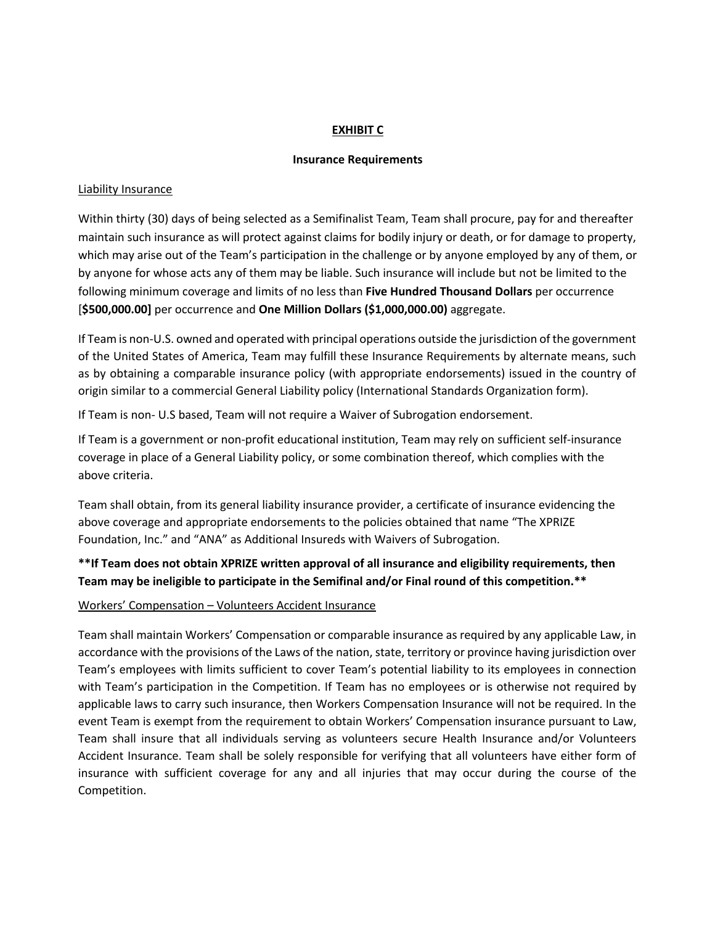#### **EXHIBIT C**

#### **Insurance Requirements**

#### Liability Insurance

Within thirty (30) days of being selected as a Semifinalist Team, Team shall procure, pay for and thereafter maintain such insurance as will protect against claims for bodily injury or death, or for damage to property, which may arise out of the Team's participation in the challenge or by anyone employed by any of them, or by anyone for whose acts any of them may be liable. Such insurance will include but not be limited to the following minimum coverage and limits of no less than **Five Hundred Thousand Dollars** per occurrence [**\$500,000.00]** per occurrence and **One Million Dollars (\$1,000,000.00)** aggregate.

If Team is non-U.S. owned and operated with principal operations outside the jurisdiction of the government of the United States of America, Team may fulfill these Insurance Requirements by alternate means, such as by obtaining a comparable insurance policy (with appropriate endorsements) issued in the country of origin similar to a commercial General Liability policy (International Standards Organization form).

If Team is non- U.S based, Team will not require a Waiver of Subrogation endorsement.

If Team is a government or non-profit educational institution, Team may rely on sufficient self-insurance coverage in place of a General Liability policy, or some combination thereof, which complies with the above criteria.

Team shall obtain, from its general liability insurance provider, a certificate of insurance evidencing the above coverage and appropriate endorsements to the policies obtained that name "The XPRIZE Foundation, Inc." and "ANA" as Additional Insureds with Waivers of Subrogation.

## **\*\*If Team does not obtain XPRIZE written approval of all insurance and eligibility requirements, then Team may be ineligible to participate in the Semifinal and/or Final round of this competition.\*\***

#### Workers' Compensation – Volunteers Accident Insurance

Team shall maintain Workers' Compensation or comparable insurance as required by any applicable Law, in accordance with the provisions of the Laws of the nation, state, territory or province having jurisdiction over Team's employees with limits sufficient to cover Team's potential liability to its employees in connection with Team's participation in the Competition. If Team has no employees or is otherwise not required by applicable laws to carry such insurance, then Workers Compensation Insurance will not be required. In the event Team is exempt from the requirement to obtain Workers' Compensation insurance pursuant to Law, Team shall insure that all individuals serving as volunteers secure Health Insurance and/or Volunteers Accident Insurance. Team shall be solely responsible for verifying that all volunteers have either form of insurance with sufficient coverage for any and all injuries that may occur during the course of the Competition.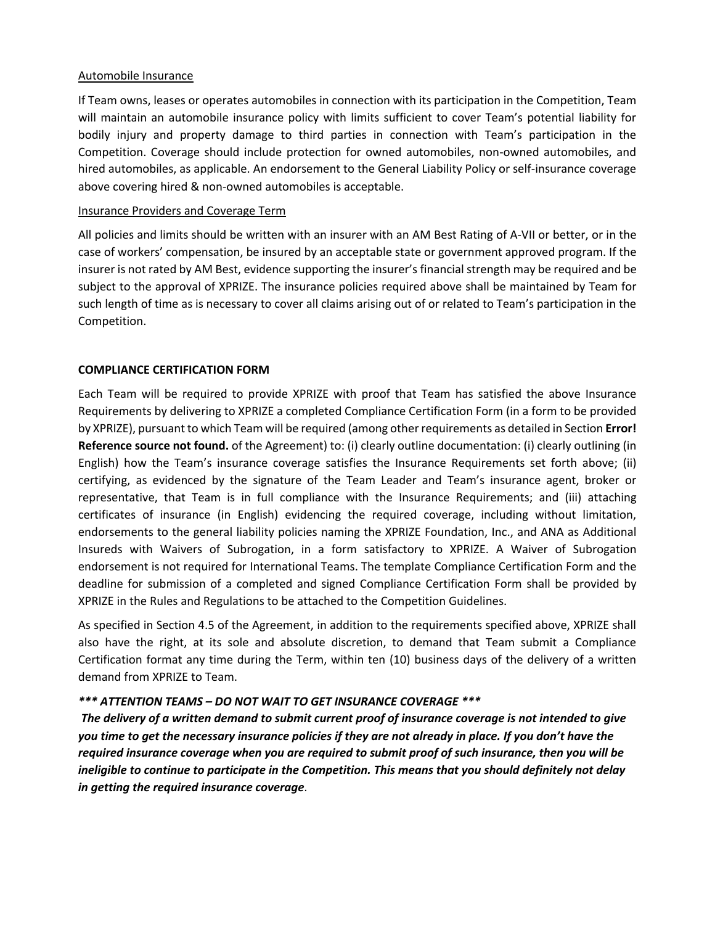#### Automobile Insurance

If Team owns, leases or operates automobiles in connection with its participation in the Competition, Team will maintain an automobile insurance policy with limits sufficient to cover Team's potential liability for bodily injury and property damage to third parties in connection with Team's participation in the Competition. Coverage should include protection for owned automobiles, non-owned automobiles, and hired automobiles, as applicable. An endorsement to the General Liability Policy or self-insurance coverage above covering hired & non-owned automobiles is acceptable.

#### Insurance Providers and Coverage Term

All policies and limits should be written with an insurer with an AM Best Rating of A-VII or better, or in the case of workers' compensation, be insured by an acceptable state or government approved program. If the insurer is not rated by AM Best, evidence supporting the insurer's financial strength may be required and be subject to the approval of XPRIZE. The insurance policies required above shall be maintained by Team for such length of time as is necessary to cover all claims arising out of or related to Team's participation in the Competition.

#### **COMPLIANCE CERTIFICATION FORM**

Each Team will be required to provide XPRIZE with proof that Team has satisfied the above Insurance Requirements by delivering to XPRIZE a completed Compliance Certification Form (in a form to be provided by XPRIZE), pursuant to which Team will be required (among other requirements as detailed in Section **Error! Reference source not found.** of the Agreement) to: (i) clearly outline documentation: (i) clearly outlining (in English) how the Team's insurance coverage satisfies the Insurance Requirements set forth above; (ii) certifying, as evidenced by the signature of the Team Leader and Team's insurance agent, broker or representative, that Team is in full compliance with the Insurance Requirements; and (iii) attaching certificates of insurance (in English) evidencing the required coverage, including without limitation, endorsements to the general liability policies naming the XPRIZE Foundation, Inc., and ANA as Additional Insureds with Waivers of Subrogation, in a form satisfactory to XPRIZE. A Waiver of Subrogation endorsement is not required for International Teams. The template Compliance Certification Form and the deadline for submission of a completed and signed Compliance Certification Form shall be provided by XPRIZE in the Rules and Regulations to be attached to the Competition Guidelines.

As specified in Section 4.5 of the Agreement, in addition to the requirements specified above, XPRIZE shall also have the right, at its sole and absolute discretion, to demand that Team submit a Compliance Certification format any time during the Term, within ten (10) business days of the delivery of a written demand from XPRIZE to Team.

### *\*\*\* ATTENTION TEAMS – DO NOT WAIT TO GET INSURANCE COVERAGE \*\*\**

*The delivery of a written demand to submit current proof of insurance coverage is not intended to give you time to get the necessary insurance policies if they are not already in place. If you don't have the required insurance coverage when you are required to submit proof of such insurance, then you will be ineligible to continue to participate in the Competition. This means that you should definitely not delay in getting the required insurance coverage*.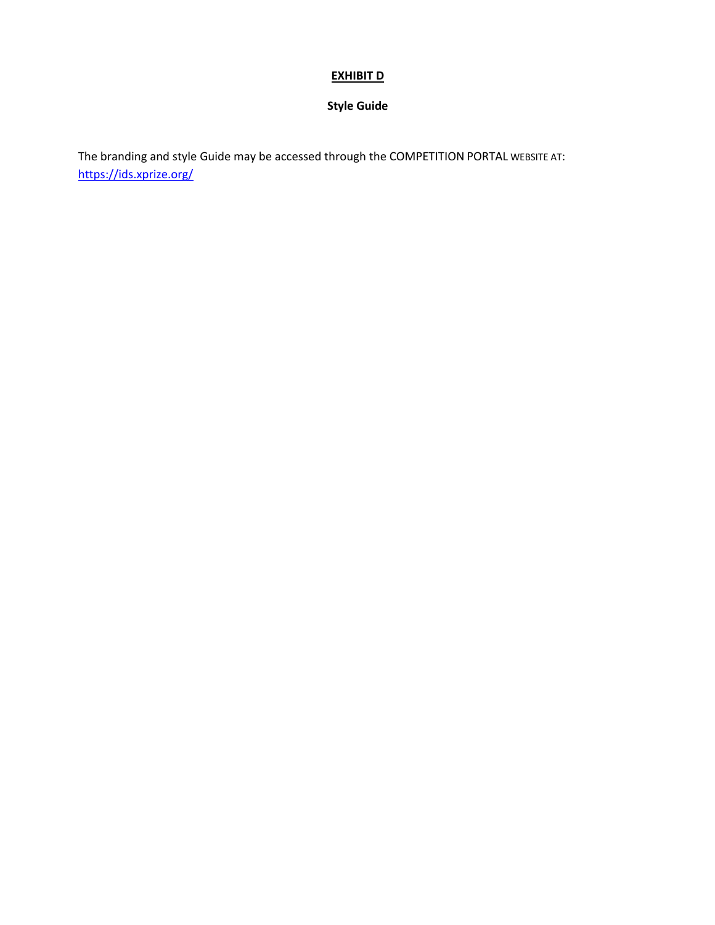# **EXHIBIT D**

# **Style Guide**

The branding and style Guide may be accessed through the COMPETITION PORTAL WEBSITE AT: https://ids.xprize.org/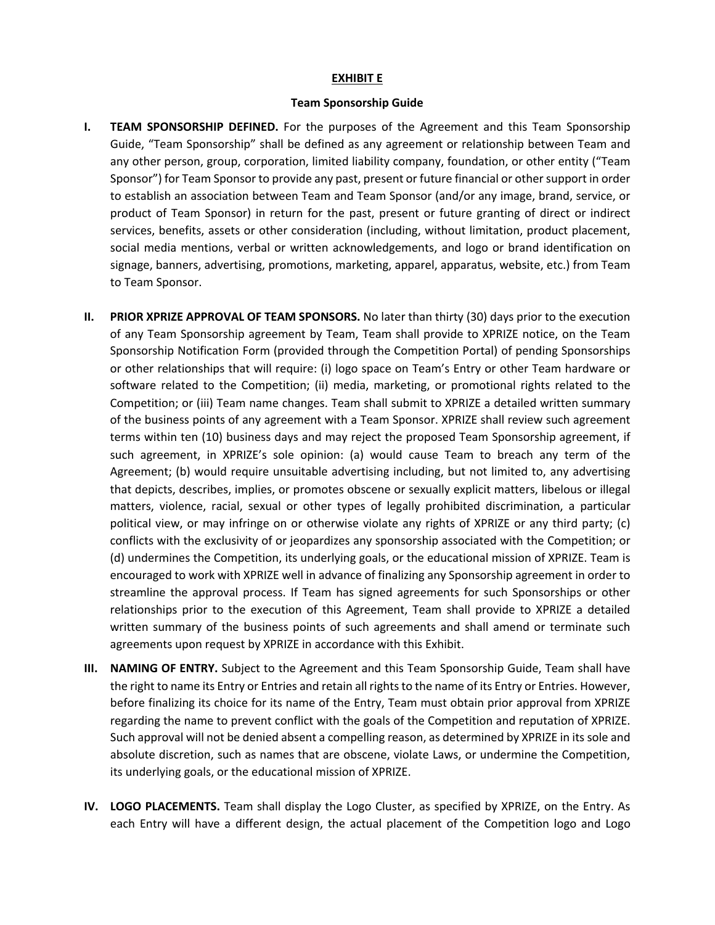#### **EXHIBIT E**

#### **Team Sponsorship Guide**

- **I. TEAM SPONSORSHIP DEFINED.** For the purposes of the Agreement and this Team Sponsorship Guide, "Team Sponsorship" shall be defined as any agreement or relationship between Team and any other person, group, corporation, limited liability company, foundation, or other entity ("Team Sponsor") for Team Sponsor to provide any past, present or future financial or other support in order to establish an association between Team and Team Sponsor (and/or any image, brand, service, or product of Team Sponsor) in return for the past, present or future granting of direct or indirect services, benefits, assets or other consideration (including, without limitation, product placement, social media mentions, verbal or written acknowledgements, and logo or brand identification on signage, banners, advertising, promotions, marketing, apparel, apparatus, website, etc.) from Team to Team Sponsor.
- **II. PRIOR XPRIZE APPROVAL OF TEAM SPONSORS.** No later than thirty (30) days prior to the execution of any Team Sponsorship agreement by Team, Team shall provide to XPRIZE notice, on the Team Sponsorship Notification Form (provided through the Competition Portal) of pending Sponsorships or other relationships that will require: (i) logo space on Team's Entry or other Team hardware or software related to the Competition; (ii) media, marketing, or promotional rights related to the Competition; or (iii) Team name changes. Team shall submit to XPRIZE a detailed written summary of the business points of any agreement with a Team Sponsor. XPRIZE shall review such agreement terms within ten (10) business days and may reject the proposed Team Sponsorship agreement, if such agreement, in XPRIZE's sole opinion: (a) would cause Team to breach any term of the Agreement; (b) would require unsuitable advertising including, but not limited to, any advertising that depicts, describes, implies, or promotes obscene or sexually explicit matters, libelous or illegal matters, violence, racial, sexual or other types of legally prohibited discrimination, a particular political view, or may infringe on or otherwise violate any rights of XPRIZE or any third party; (c) conflicts with the exclusivity of or jeopardizes any sponsorship associated with the Competition; or (d) undermines the Competition, its underlying goals, or the educational mission of XPRIZE. Team is encouraged to work with XPRIZE well in advance of finalizing any Sponsorship agreement in order to streamline the approval process. If Team has signed agreements for such Sponsorships or other relationships prior to the execution of this Agreement, Team shall provide to XPRIZE a detailed written summary of the business points of such agreements and shall amend or terminate such agreements upon request by XPRIZE in accordance with this Exhibit.
- **III. NAMING OF ENTRY.** Subject to the Agreement and this Team Sponsorship Guide, Team shall have the right to name its Entry or Entries and retain all rights to the name of its Entry or Entries. However, before finalizing its choice for its name of the Entry, Team must obtain prior approval from XPRIZE regarding the name to prevent conflict with the goals of the Competition and reputation of XPRIZE. Such approval will not be denied absent a compelling reason, as determined by XPRIZE in its sole and absolute discretion, such as names that are obscene, violate Laws, or undermine the Competition, its underlying goals, or the educational mission of XPRIZE.
- **IV. LOGO PLACEMENTS.** Team shall display the Logo Cluster, as specified by XPRIZE, on the Entry. As each Entry will have a different design, the actual placement of the Competition logo and Logo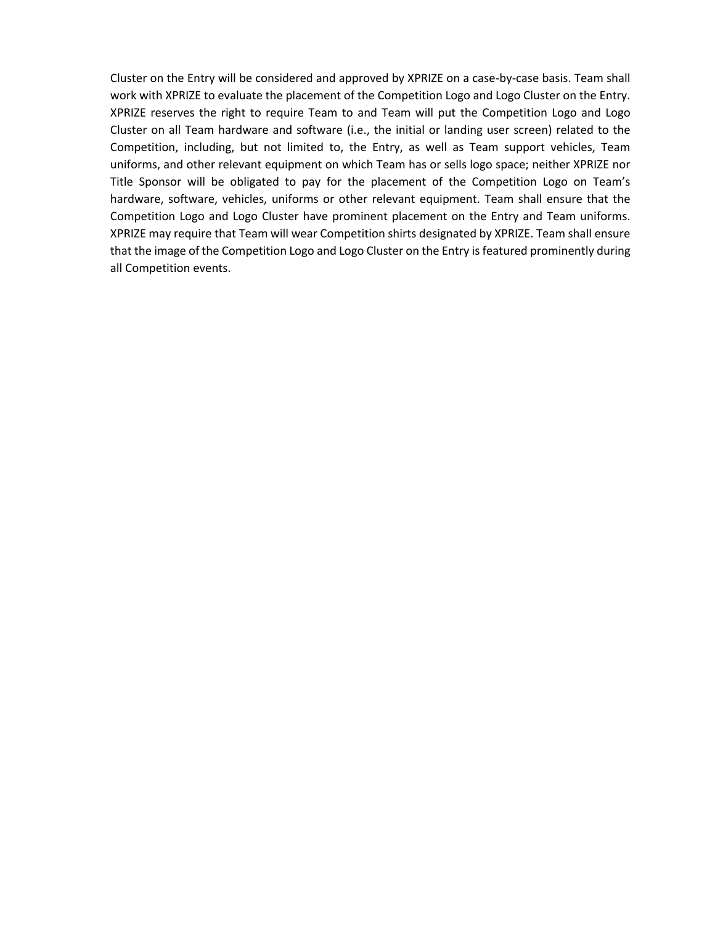Cluster on the Entry will be considered and approved by XPRIZE on a case-by-case basis. Team shall work with XPRIZE to evaluate the placement of the Competition Logo and Logo Cluster on the Entry. XPRIZE reserves the right to require Team to and Team will put the Competition Logo and Logo Cluster on all Team hardware and software (i.e., the initial or landing user screen) related to the Competition, including, but not limited to, the Entry, as well as Team support vehicles, Team uniforms, and other relevant equipment on which Team has or sells logo space; neither XPRIZE nor Title Sponsor will be obligated to pay for the placement of the Competition Logo on Team's hardware, software, vehicles, uniforms or other relevant equipment. Team shall ensure that the Competition Logo and Logo Cluster have prominent placement on the Entry and Team uniforms. XPRIZE may require that Team will wear Competition shirts designated by XPRIZE. Team shall ensure that the image of the Competition Logo and Logo Cluster on the Entry is featured prominently during all Competition events.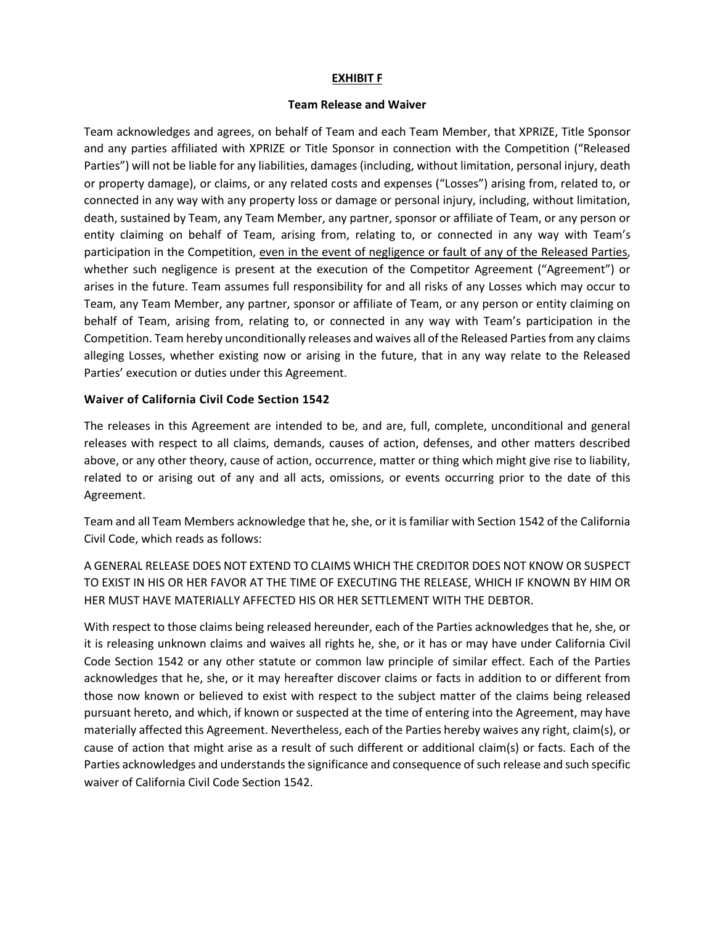#### **EXHIBIT F**

#### **Team Release and Waiver**

Team acknowledges and agrees, on behalf of Team and each Team Member, that XPRIZE, Title Sponsor and any parties affiliated with XPRIZE or Title Sponsor in connection with the Competition ("Released Parties") will not be liable for any liabilities, damages (including, without limitation, personal injury, death or property damage), or claims, or any related costs and expenses ("Losses") arising from, related to, or connected in any way with any property loss or damage or personal injury, including, without limitation, death, sustained by Team, any Team Member, any partner, sponsor or affiliate of Team, or any person or entity claiming on behalf of Team, arising from, relating to, or connected in any way with Team's participation in the Competition, even in the event of negligence or fault of any of the Released Parties, whether such negligence is present at the execution of the Competitor Agreement ("Agreement") or arises in the future. Team assumes full responsibility for and all risks of any Losses which may occur to Team, any Team Member, any partner, sponsor or affiliate of Team, or any person or entity claiming on behalf of Team, arising from, relating to, or connected in any way with Team's participation in the Competition. Team hereby unconditionally releases and waives all of the Released Parties from any claims alleging Losses, whether existing now or arising in the future, that in any way relate to the Released Parties' execution or duties under this Agreement.

#### **Waiver of California Civil Code Section 1542**

The releases in this Agreement are intended to be, and are, full, complete, unconditional and general releases with respect to all claims, demands, causes of action, defenses, and other matters described above, or any other theory, cause of action, occurrence, matter or thing which might give rise to liability, related to or arising out of any and all acts, omissions, or events occurring prior to the date of this Agreement.

Team and all Team Members acknowledge that he, she, or it is familiar with Section 1542 of the California Civil Code, which reads as follows:

A GENERAL RELEASE DOES NOT EXTEND TO CLAIMS WHICH THE CREDITOR DOES NOT KNOW OR SUSPECT TO EXIST IN HIS OR HER FAVOR AT THE TIME OF EXECUTING THE RELEASE, WHICH IF KNOWN BY HIM OR HER MUST HAVE MATERIALLY AFFECTED HIS OR HER SETTLEMENT WITH THE DEBTOR.

With respect to those claims being released hereunder, each of the Parties acknowledges that he, she, or it is releasing unknown claims and waives all rights he, she, or it has or may have under California Civil Code Section 1542 or any other statute or common law principle of similar effect. Each of the Parties acknowledges that he, she, or it may hereafter discover claims or facts in addition to or different from those now known or believed to exist with respect to the subject matter of the claims being released pursuant hereto, and which, if known or suspected at the time of entering into the Agreement, may have materially affected this Agreement. Nevertheless, each of the Parties hereby waives any right, claim(s), or cause of action that might arise as a result of such different or additional claim(s) or facts. Each of the Parties acknowledges and understands the significance and consequence of such release and such specific waiver of California Civil Code Section 1542.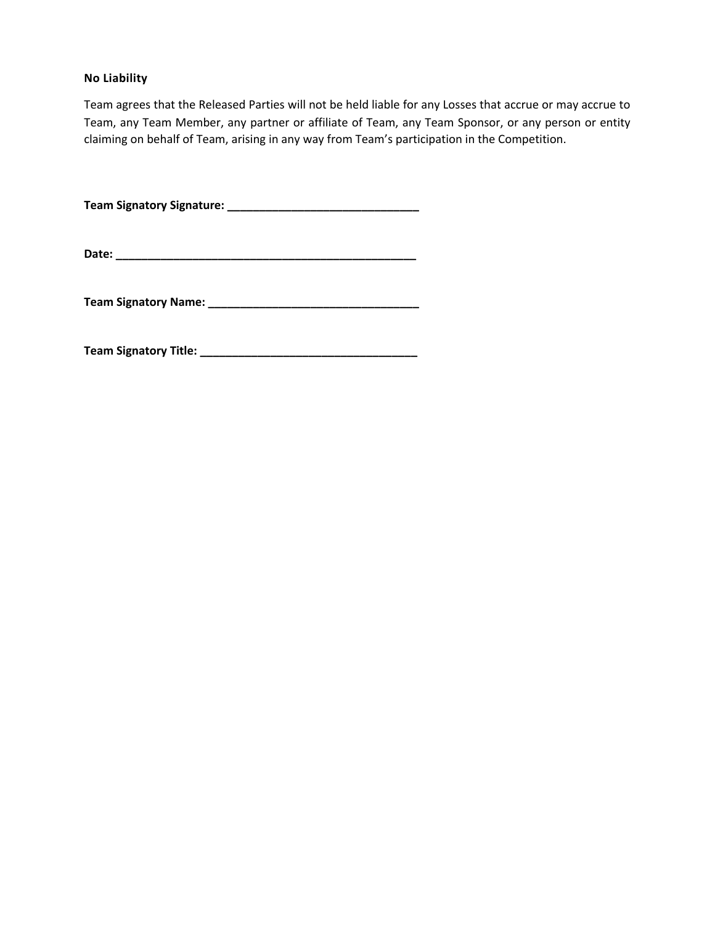#### **No Liability**

Team agrees that the Released Parties will not be held liable for any Losses that accrue or may accrue to Team, any Team Member, any partner or affiliate of Team, any Team Sponsor, or any person or entity claiming on behalf of Team, arising in any way from Team's participation in the Competition.

**Team Signatory Signature: \_\_\_\_\_\_\_\_\_\_\_\_\_\_\_\_\_\_\_\_\_\_\_\_\_\_\_\_\_\_**

**Date: \_\_\_\_\_\_\_\_\_\_\_\_\_\_\_\_\_\_\_\_\_\_\_\_\_\_\_\_\_\_\_\_\_\_\_\_\_\_\_\_\_\_\_\_\_\_\_**

**Team Signatory Name: \_\_\_\_\_\_\_\_\_\_\_\_\_\_\_\_\_\_\_\_\_\_\_\_\_\_\_\_\_\_\_\_\_**

**Team Signatory Title: \_\_\_\_\_\_\_\_\_\_\_\_\_\_\_\_\_\_\_\_\_\_\_\_\_\_\_\_\_\_\_\_\_\_**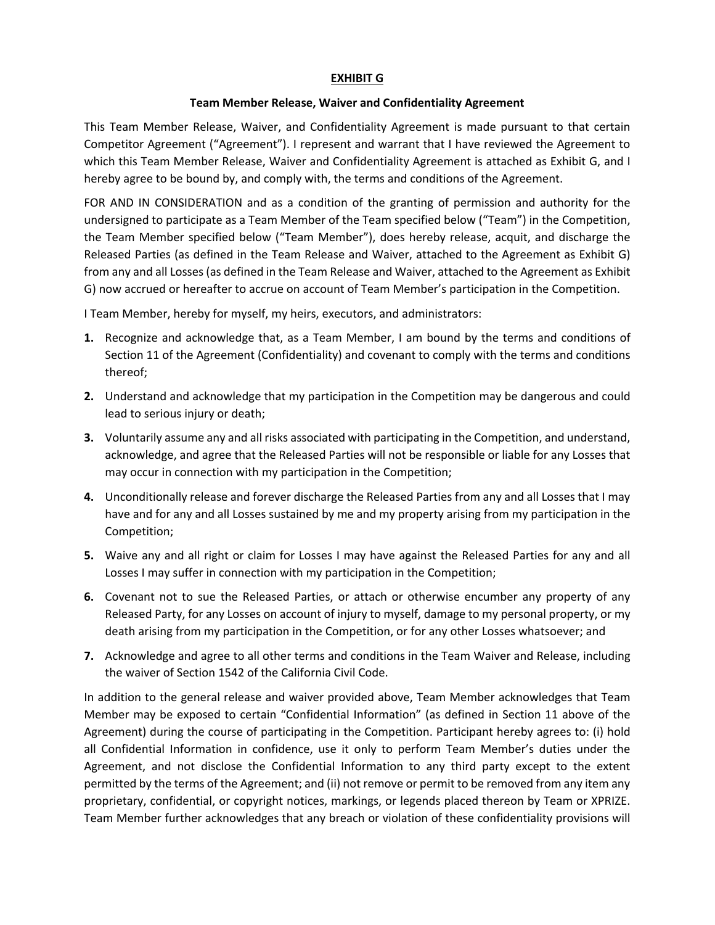#### **EXHIBIT G**

#### **Team Member Release, Waiver and Confidentiality Agreement**

This Team Member Release, Waiver, and Confidentiality Agreement is made pursuant to that certain Competitor Agreement ("Agreement"). I represent and warrant that I have reviewed the Agreement to which this Team Member Release, Waiver and Confidentiality Agreement is attached as Exhibit G, and I hereby agree to be bound by, and comply with, the terms and conditions of the Agreement.

FOR AND IN CONSIDERATION and as a condition of the granting of permission and authority for the undersigned to participate as a Team Member of the Team specified below ("Team") in the Competition, the Team Member specified below ("Team Member"), does hereby release, acquit, and discharge the Released Parties (as defined in the Team Release and Waiver, attached to the Agreement as Exhibit G) from any and all Losses (as defined in the Team Release and Waiver, attached to the Agreement as Exhibit G) now accrued or hereafter to accrue on account of Team Member's participation in the Competition.

I Team Member, hereby for myself, my heirs, executors, and administrators:

- **1.** Recognize and acknowledge that, as a Team Member, I am bound by the terms and conditions of Section 11 of the Agreement (Confidentiality) and covenant to comply with the terms and conditions thereof;
- **2.** Understand and acknowledge that my participation in the Competition may be dangerous and could lead to serious injury or death;
- **3.** Voluntarily assume any and all risks associated with participating in the Competition, and understand, acknowledge, and agree that the Released Parties will not be responsible or liable for any Losses that may occur in connection with my participation in the Competition;
- **4.** Unconditionally release and forever discharge the Released Parties from any and all Losses that I may have and for any and all Losses sustained by me and my property arising from my participation in the Competition;
- **5.** Waive any and all right or claim for Losses I may have against the Released Parties for any and all Losses I may suffer in connection with my participation in the Competition;
- **6.** Covenant not to sue the Released Parties, or attach or otherwise encumber any property of any Released Party, for any Losses on account of injury to myself, damage to my personal property, or my death arising from my participation in the Competition, or for any other Losses whatsoever; and
- **7.** Acknowledge and agree to all other terms and conditions in the Team Waiver and Release, including the waiver of Section 1542 of the California Civil Code.

In addition to the general release and waiver provided above, Team Member acknowledges that Team Member may be exposed to certain "Confidential Information" (as defined in Section 11 above of the Agreement) during the course of participating in the Competition. Participant hereby agrees to: (i) hold all Confidential Information in confidence, use it only to perform Team Member's duties under the Agreement, and not disclose the Confidential Information to any third party except to the extent permitted by the terms of the Agreement; and (ii) not remove or permit to be removed from any item any proprietary, confidential, or copyright notices, markings, or legends placed thereon by Team or XPRIZE. Team Member further acknowledges that any breach or violation of these confidentiality provisions will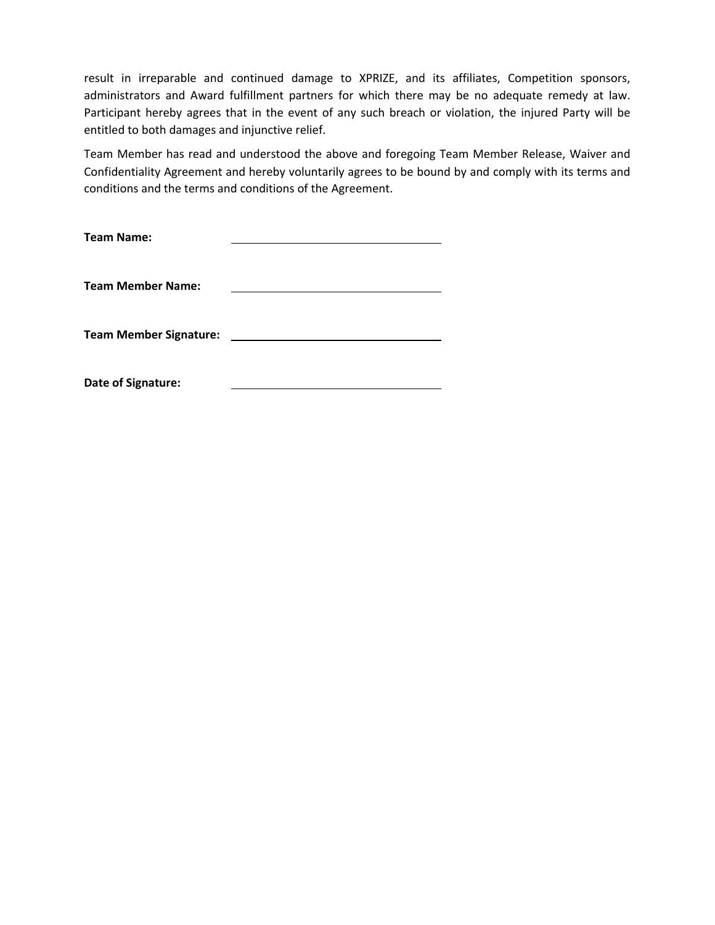result in irreparable and continued damage to XPRIZE, and its affiliates, Competition sponsors, administrators and Award fulfillment partners for which there may be no adequate remedy at law. Participant hereby agrees that in the event of any such breach or violation, the injured Party will be entitled to both damages and injunctive relief.

Team Member has read and understood the above and foregoing Team Member Release, Waiver and Confidentiality Agreement and hereby voluntarily agrees to be bound by and comply with its terms and conditions and the terms and conditions of the Agreement.

| <b>Team Name:</b>             |  |
|-------------------------------|--|
| <b>Team Member Name:</b>      |  |
| <b>Team Member Signature:</b> |  |
| Date of Signature:            |  |